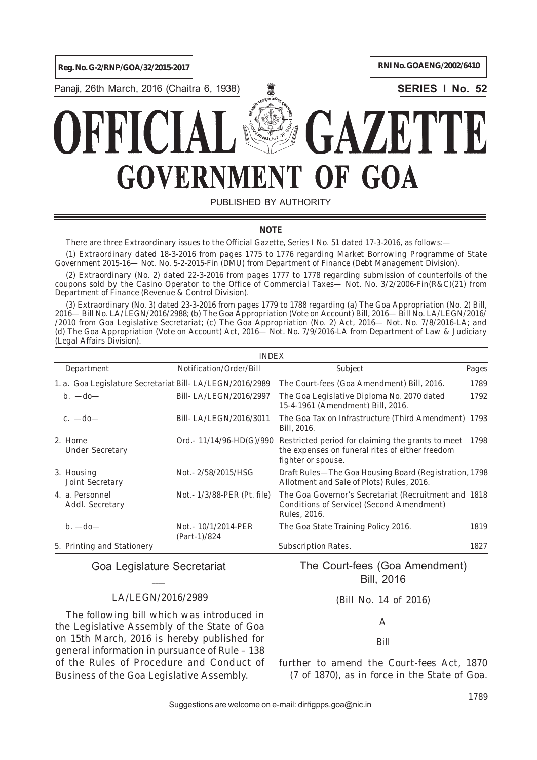**Reg. No. G-2/RNP/GOA/32/2015-2017 RNI No. GOAENG/2002/6410** 

Panaji, 26th March, 2016 (Chaitra 6, 1938) **SERIES I No. 52**



# $\mathcal{L}_1$ GOA GOVERNMI **JF** D

PUBLISHED BY AUTHORITY

# **NOTE**

*There are three Extraordinary issues to the Official Gazette, Series I No. 51 dated 17-3-2016, as follows:—*

*(1) Extraordinary dated 18-3-2016 from pages 1775 to 1776 regarding Market Borrowing Programme of State Government 2015-16— Not. No. 5-2-2015-Fin (DMU) from Department of Finance (Debt Management Division).*

*(2) Extraordinary (No. 2) dated 22-3-2016 from pages 1777 to 1778 regarding submission of counterfoils of the coupons sold by the Casino Operator to the Office of Commercial Taxes— Not. No. 3/2/2006-Fin(R&C)(21) from Department of Finance (Revenue & Control Division).*

*(3) Extraordinary (No. 3) dated 23-3-2016 from pages 1779 to 1788 regarding (a) The Goa Appropriation (No. 2) Bill, 2016— Bill No. LA/LEGN/2016/2988; (b) The Goa Appropriation (Vote on Account) Bill, 2016— Bill No. LA/LEGN/2016/ /2010 from Goa Legislative Secretariat; (c) The Goa Appropriation (No. 2) Act, 2016— Not. No. 7/8/2016-LA; and (d) The Goa Appropriation (Vote on Account) Act, 2016— Not. No. 7/9/2016-LA from Department of Law & Judiciary (Legal Affairs Division).*

|                                                          | <b>INDEX</b>                           |                                                                                                                                 |       |  |  |  |
|----------------------------------------------------------|----------------------------------------|---------------------------------------------------------------------------------------------------------------------------------|-------|--|--|--|
| Department                                               | Notification/Order/Bill                | Subject                                                                                                                         | Pages |  |  |  |
| 1. a. Goa Legislature Secretariat Bill-LA/LEGN/2016/2989 |                                        | The Court-fees (Goa Amendment) Bill, 2016.                                                                                      | 1789  |  |  |  |
| $b. -do -$                                               | Bill-LA/LEGN/2016/2997                 | The Goa Legislative Diploma No. 2070 dated<br>15-4-1961 (Amendment) Bill, 2016.                                                 | 1792  |  |  |  |
| c. $-d_0$                                                | Bill-LA/LEGN/2016/3011                 | The Goa Tax on Infrastructure (Third Amendment) 1793<br>Bill, 2016.                                                             |       |  |  |  |
| 2. Home<br><b>Under Secretary</b>                        | Ord.- $11/14/96$ -HD(G)/990            | Restricted period for claiming the grants to meet 1798<br>the expenses on funeral rites of either freedom<br>fighter or spouse. |       |  |  |  |
| 3. Housing<br>Joint Secretary                            | Not. - 2/58/2015/HSG                   | Draft Rules—The Goa Housing Board (Registration, 1798<br>Allotment and Sale of Plots) Rules, 2016.                              |       |  |  |  |
| 4. a. Personnel<br>Addl. Secretary                       | Not. $1/3/88$ -PER (Pt. file)          | The Goa Governor's Secretariat (Recruitment and 1818)<br>Conditions of Service) (Second Amendment)<br>Rules, 2016.              |       |  |  |  |
| $b. -do -$                                               | Not. - 10/1/2014-PER<br>$(Part-1)/824$ | The Goa State Training Policy 2016.                                                                                             | 1819  |  |  |  |
| 5. Printing and Stationery                               |                                        | <b>Subscription Rates.</b>                                                                                                      | 1827  |  |  |  |

Goa Legislature Secretariat  $\overline{\phantom{a}}$ 

# LA/LEGN/2016/2989

The following bill which was introduced in the Legislative Assembly of the State of Goa on 15th March, 2016 is hereby published for general information in pursuance of Rule – 138 of the Rules of Procedure and Conduct of Business of the Goa Legislative Assembly.

The Court-fees (Goa Amendment) Bill, 2016

(Bill No. 14 of 2016)

A

Bill

*further to amend the Court-fees Act, 1870 (7 of 1870), as in force in the State of Goa.*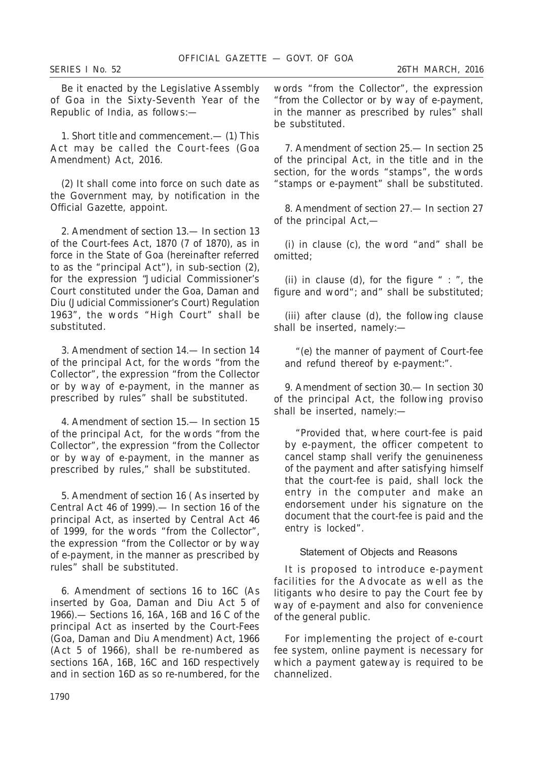Be it enacted by the Legislative Assembly of Goa in the Sixty-Seventh Year of the Republic of India, as follows:—

1. *Short title and commencement.*— (*1*) This Act may be called the Court-fees (Goa Amendment) Act, 2016.

(*2*) It shall come into force on such date as the Government may, by notification in the Official Gazette, appoint.

2. *Amendment of section 13*.— In section 13 of the Court-fees Act, 1870 (7 of 1870), as in force in the State of Goa (hereinafter referred to as the "principal Act"), in sub-section (*2*), for the expression "Judicial Commissioner's Court constituted under the Goa, Daman and Diu (Judicial Commissioner's Court) Regulation 1963", the words "High Court" shall be substituted.

3. *Amendment of section 14*.— In section 14 of the principal Act, for the words "from the Collector", the expression "from the Collector or by way of e-payment, in the manner as prescribed by rules" shall be substituted.

4. *Amendment of section 15*.— In section 15 of the principal Act, for the words "from the Collector", the expression "from the Collector or by way of e-payment, in the manner as prescribed by rules," shall be substituted.

5. *Amendment of section 16 ( As inserted by Central Act 46 of 1999)*.— In section 16 of the principal Act, as inserted by Central Act 46 of 1999, for the words "from the Collector", the expression "from the Collector or by way of e-payment, in the manner as prescribed by rules" shall be substituted.

6. *Amendment of sections 16 to 16C (As inserted by Goa, Daman and Diu Act 5 of 1966)*.— Sections 16, 16A, 16B and 16 C of the principal Act as inserted by the Court-Fees (Goa, Daman and Diu Amendment) Act, 1966 (Act 5 of 1966), shall be re-numbered as sections 16A, 16B, 16C and 16D respectively and in section 16D as so re-numbered, for the

words "from the Collector", the expression "from the Collector or by way of e-payment, in the manner as prescribed by rules" shall be substituted.

7. *Amendment of section 25*.— In section 25 of the principal Act, in the title and in the section, for the words "stamps", the words "stamps or e-payment" shall be substituted.

8. *Amendment of section 27*.— In section 27 of the principal Act,—

(*i*) in clause (*c*), the word "and" shall be omitted;

(*ii*) in clause (*d*), for the figure " : ", the figure and word"; and" shall be substituted;

(*iii*) after clause (*d*), the following clause shall be inserted, namely:—

"(*e*) the manner of payment of Court-fee and refund thereof by e-payment:".

9. *Amendment of section 30*.— In section 30 of the principal Act, the following proviso shall be inserted, namely:—

"Provided that, where court-fee is paid by e-payment, the officer competent to cancel stamp shall verify the genuineness of the payment and after satisfying himself that the court-fee is paid, shall lock the entry in the computer and make an endorsement under his signature on the document that the court-fee is paid and the entry is locked".

Statement of Objects and Reasons

It is proposed to introduce e-payment facilities for the Advocate as well as the litigants who desire to pay the Court fee by way of e-payment and also for convenience of the general public.

For implementing the project of e-court fee system, online payment is necessary for which a payment gateway is required to be channelized.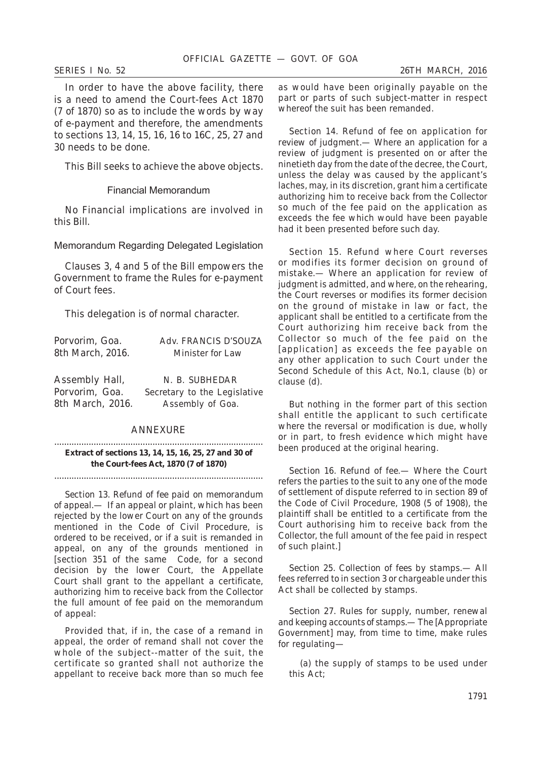In order to have the above facility, there is a need to amend the Court-fees Act 1870 (7 of 1870) so as to include the words by way of e-payment and therefore, the amendments to sections 13, 14, 15, 16, 16 to 16C, 25, 27 and 30 needs to be done.

This Bill seeks to achieve the above objects.

#### Financial Memorandum

No Financial implications are involved in this Bill.

Memorandum Regarding Delegated Legislation

Clauses 3, 4 and 5 of the Bill empowers the Government to frame the Rules for e-payment of Court fees.

This delegation is of normal character.

| Porvorim, Goa.   | Adv. FRANCIS D'SOUZA         |
|------------------|------------------------------|
| 8th March, 2016. | Minister for Law             |
|                  |                              |
| Assembly Hall,   | N. B. SUBHEDAR               |
| Porvorim, Goa.   | Secretary to the Legislative |
| 8th March, 2016. | Assembly of Goa.             |
|                  |                              |

# ANNEXURE

..................................................................................... **Extract of sections 13, 14, 15, 16, 25, 27 and 30 of the Court-fees Act, 1870 (7 of 1870)**

.....................................................................................

*Section 13. Refund of fee paid on memorandum of appeal*.— If an appeal or plaint, which has been rejected by the lower Court on any of the grounds mentioned in the Code of Civil Procedure, is ordered to be received, or if a suit is remanded in appeal, on any of the grounds mentioned in [section 351 of the same Code, for a second decision by the lower Court, the Appellate Court shall grant to the appellant a certificate, authorizing him to receive back from the Collector the full amount of fee paid on the memorandum of appeal:

Provided that, if in, the case of a remand in appeal, the order of remand shall not cover the whole of the subject--matter of the suit, the certificate so granted shall not authorize the appellant to receive back more than so much fee as would have been originally payable on the part or parts of such subject-matter in respect whereof the suit has been remanded.

*Section 14. Refund of fee on application for review of judgment*.— Where an application for a review of judgment is presented on or after the ninetieth day from the date of the decree, the Court, unless the delay was caused by the applicant's laches, may, in its discretion, grant him a certificate authorizing him to receive back from the Collector so much of the fee paid on the application as exceeds the fee which would have been payable had it been presented before such day.

*Section 15. Refund where Court reverses or modifies its former decision on ground of mistake.*— Where an application for review of judgment is admitted, and where, on the rehearing, the Court reverses or modifies its former decision on the ground of mistake in law or fact, the applicant shall be entitled to a certificate from the Court authorizing him receive back from the Collector so much of the fee paid on the [application] as exceeds the fee payable on any other application to such Court under the Second Schedule of this Act, No.1, clause (*b*) or clause (*d*).

But nothing in the former part of this section shall entitle the applicant to such certificate where the reversal or modification is due, wholly or in part, to fresh evidence which might have been produced at the original hearing.

*Section 16. Refund of fee*.— Where the Court refers the parties to the suit to any one of the mode of settlement of dispute referred to in section 89 of the Code of Civil Procedure, 1908 (5 of 1908), the plaintiff shall be entitled to a certificate from the Court authorising him to receive back from the Collector, the full amount of the fee paid in respect of such plaint.]

*Section 25. Collection of fees by stamps*.— All fees referred to in section 3 or chargeable under this Act shall be collected by stamps.

*Section 27. Rules for supply, number, renewal and keeping accounts of stamps.*— The [Appropriate Government] may, from time to time, make rules for regulating—

(a) the supply of stamps to be used under this Act;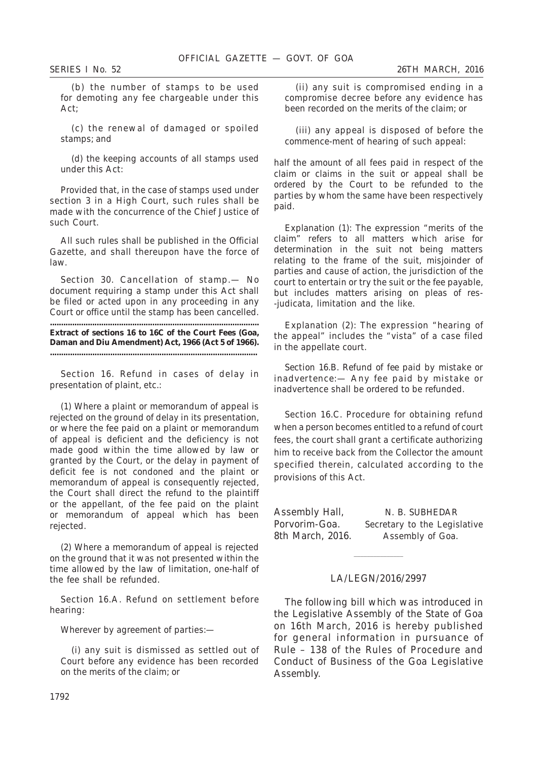(b) the number of stamps to be used for demoting any fee chargeable under this Act;

(c) the renewal of damaged or spoiled stamps; and

(d) the keeping accounts of all stamps used under this Act:

Provided that, in the case of stamps used under section 3 in a High Court, such rules shall be made with the concurrence of the Chief Justice of such Court.

All such rules shall be published in the Official Gazette, and shall thereupon have the force of law.

*Section 30. Cancellation of stamp*.— No document requiring a stamp under this Act shall be filed or acted upon in any proceeding in any Court or office until the stamp has been cancelled.

**.............................................................................................. Extract of sections 16 to 16C of the Court Fees (Goa, Daman and Diu Amendment) Act, 1966 (Act 5 of 1966). .............................................................................................**

Section 16. Refund in cases of delay in presentation of plaint, etc.:

(1) Where a plaint or memorandum of appeal is rejected on the ground of delay in its presentation, or where the fee paid on a plaint or memorandum of appeal is deficient and the deficiency is not made good within the time allowed by law or granted by the Court, or the delay in payment of deficit fee is not condoned and the plaint or memorandum of appeal is consequently rejected, the Court shall direct the refund to the plaintiff or the appellant, of the fee paid on the plaint or memorandum of appeal which has been rejected.

(2) Where a memorandum of appeal is rejected on the ground that it was not presented within the time allowed by the law of limitation, one-half of the fee shall be refunded.

Section 16.A. Refund on settlement before hearing:

Wherever by agreement of parties:—

(i) any suit is dismissed as settled out of Court before any evidence has been recorded on the merits of the claim; or

(ii) any suit is compromised ending in a compromise decree before any evidence has been recorded on the merits of the claim; or

(iii) any appeal is disposed of before the commence-ment of hearing of such appeal:

half the amount of all fees paid in respect of the claim or claims in the suit or appeal shall be ordered by the Court to be refunded to the parties by whom the same have been respectively paid.

*Explanation (1)*: The expression "merits of the claim" refers to all matters which arise for determination in the suit not being matters relating to the frame of the suit, misjoinder of parties and cause of action, the jurisdiction of the court to entertain or try the suit or the fee payable, but includes matters arising on pleas of res- -judicata, limitation and the like.

*Explanation (2)*: The expression "hearing of the appeal" includes the "vista" of a case filed in the appellate court.

*Section 16.B. Refund of fee paid by mistake or inadvertence*:— Any fee paid by mistake or inadvertence shall be ordered to be refunded.

Section 16.C. Procedure for obtaining refund when a person becomes entitled to a refund of court fees, the court shall grant a certificate authorizing him to receive back from the Collector the amount specified therein, calculated according to the provisions of this Act.

Assembly Hall, N. B. SUBHEDAR 8th March, 2016. Assembly of Goa.

Porvorim-Goa. Secretary to the Legislative

# LA/LEGN/2016/2997

 $\mathcal{L}_\text{max}$ 

The following bill which was introduced in the Legislative Assembly of the State of Goa on 16th March, 2016 is hereby published for general information in pursuance of Rule – 138 of the Rules of Procedure and Conduct of Business of the Goa Legislative Assembly.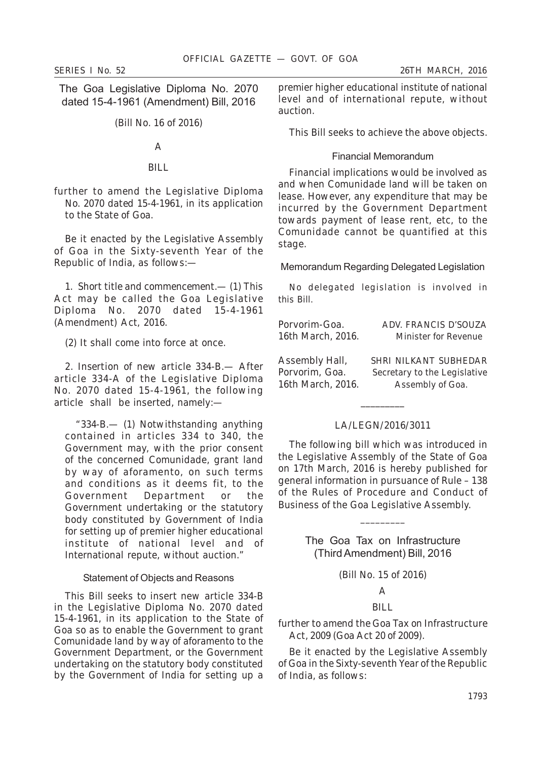The Goa Legislative Diploma No. 2070 dated 15-4-1961 (Amendment) Bill, 2016

(Bill No. 16 of 2016)

# A

#### BILL.

*further to amend the Legislative Diploma No. 2070 dated 15-4-1961, in its application to the State of Goa.*

Be it enacted by the Legislative Assembly of Goa in the Sixty-seventh Year of the Republic of India, as follows:—

1. *Short title and commencement.*— (*1*) This Act may be called the Goa Legislative Diploma No. 2070 dated 15-4-1961 (Amendment) Act, 2016.

(*2*) It shall come into force at once.

2. *Insertion of new article 334-B*.— After article 334-A of the Legislative Diploma No. 2070 dated 15-4-1961, the following article shall be inserted, namely:—

"*334-B*.— (*1*) Notwithstanding anything contained in articles 334 to 340, the Government may, with the prior consent of the concerned Comunidade, grant land by way of aforamento, on such terms and conditions as it deems fit, to the Government Department or the Government undertaking or the statutory body constituted by Government of India for setting up of premier higher educational institute of national level and of International repute, without auction."

#### Statement of Objects and Reasons

This Bill seeks to insert new article 334-B in the Legislative Diploma No. 2070 dated 15-4-1961, in its application to the State of Goa so as to enable the Government to grant Comunidade land by way of aforamento to the Government Department, or the Government undertaking on the statutory body constituted by the Government of India for setting up a premier higher educational institute of national level and of international repute, without auction.

This Bill seeks to achieve the above objects.

### Financial Memorandum

Financial implications would be involved as and when Comunidade land will be taken on lease. However, any expenditure that may be incurred by the Government Department towards payment of lease rent, etc, to the Comunidade cannot be quantified at this stage.

Memorandum Regarding Delegated Legislation

No delegated legislation is involved in this Bill.

| Porvorim-Goa.     | ADV. FRANCIS D'SOUZA         |
|-------------------|------------------------------|
| 16th March, 2016. | Minister for Revenue         |
| Assembly Hall,    | SHRI NILKANT SUBHEDAR        |
| Porvorim, Goa.    | Secretary to the Legislative |
| 16th March, 2016. | Assembly of Goa.             |

# LA/LEGN/2016/3011

 $\overline{\phantom{a}}$  , where  $\overline{\phantom{a}}$ 

The following bill which was introduced in the Legislative Assembly of the State of Goa on 17th March, 2016 is hereby published for general information in pursuance of Rule – 138 of the Rules of Procedure and Conduct of Business of the Goa Legislative Assembly.

> The Goa Tax on Infrastructure (ThirdAmendment) Bill, 2016

\_\_\_\_\_\_\_\_\_

(Bill No. 15 of 2016)

# A

# BILL.

# *further to amend the Goa Tax on Infrastructure Act, 2009 (Goa Act 20 of 2009).*

Be it enacted by the Legislative Assembly of Goa in the Sixty-seventh Year of the Republic of India, as follows: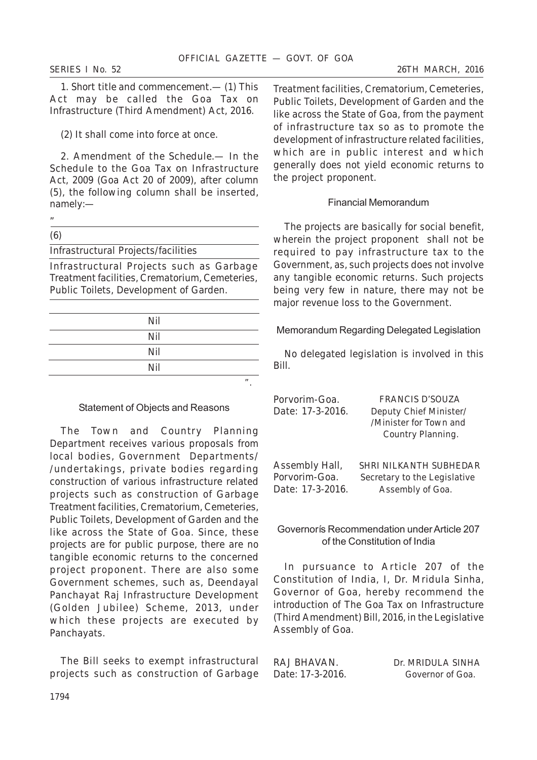1. *Short title and commencement*.— (*1*) This Act may be called the Goa Tax on Infrastructure (Third Amendment) Act, 2016.

(*2*) It shall come into force at once.

2. *Amendment of the Schedule*.— In the Schedule to the Goa Tax on Infrastructure Act, 2009 (Goa Act 20 of 2009), after column (5), the following column shall be inserted, namely:—

Infrastructural Projects/facilities

Infrastructural Projects such as Garbage Treatment facilities, Crematorium, Cemeteries, Public Toilets, Development of Garden.

| Nil |     |
|-----|-----|
| Nil |     |
| Nil |     |
| Nil |     |
|     | , , |

#### Statement of Objects and Reasons

The Town and Country Planning Department receives various proposals from local bodies, Government Departments/ /undertakings, private bodies regarding construction of various infrastructure related projects such as construction of Garbage Treatment facilities, Crematorium, Cemeteries, Public Toilets, Development of Garden and the like across the State of Goa. Since, these projects are for public purpose, there are no tangible economic returns to the concerned project proponent. There are also some Government schemes, such as, Deendayal Panchayat Raj Infrastructure Development (Golden Jubilee) Scheme, 2013, under which these projects are executed by Panchayats.

The Bill seeks to exempt infrastructural projects such as construction of Garbage Treatment facilities, Crematorium, Cemeteries, Public Toilets, Development of Garden and the like across the State of Goa, from the payment of infrastructure tax so as to promote the development of infrastructure related facilities, which are in public interest and which generally does not yield economic returns to the project proponent.

# Financial Memorandum

The projects are basically for social benefit, wherein the project proponent shall not be required to pay infrastructure tax to the Government, as, such projects does not involve any tangible economic returns. Such projects being very few in nature, there may not be major revenue loss to the Government.

Memorandum Regarding Delegated Legislation

No delegated legislation is involved in this Bill.

| Porvorim-Goa.    | <b>FRANCIS D'SOUZA</b>        |
|------------------|-------------------------------|
| Date: 17-3-2016. | Deputy Chief Minister/        |
|                  | /Minister for Town and        |
|                  | Country Planning.             |
|                  |                               |
| Assembly Hall,   | <b>SHRI NILKANTH SUBHEDAR</b> |
| Porvorim-Goa.    | Secretary to the Legislative  |
| Date: 17-3-2016. | Assembly of Goa.              |

Governorís Recommendation under Article 207 of the Constitution of India

In pursuance to Article 207 of the Constitution of India, I, Dr. Mridula Sinha, Governor of Goa, hereby recommend the introduction of The Goa Tax on Infrastructure (Third Amendment) Bill, 2016, in the Legislative Assembly of Goa.

RAJ BHAVAN.Dr. MRIDULA SINHA Date: 17-3-2016. Governor of Goa.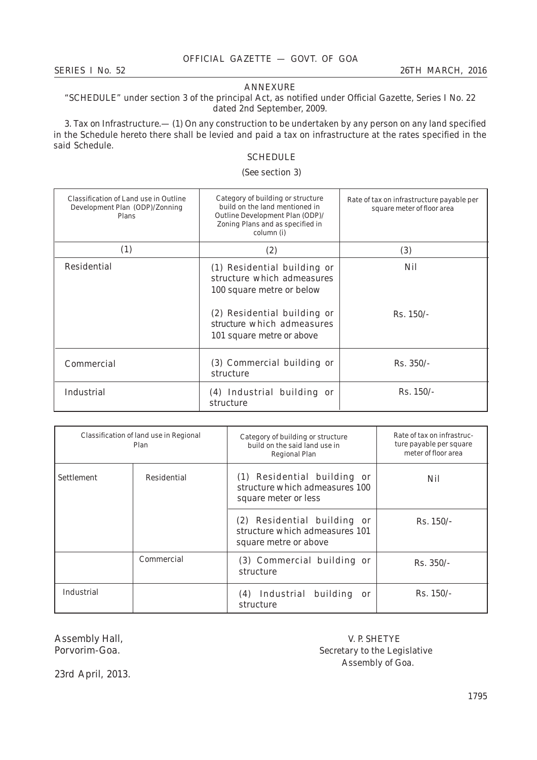#### ANNEXURE

# "SCHEDULE" under section 3 of the principal Act, as notified under Official Gazette, Series I No. 22 dated 2nd September, 2009.

3. *Tax on Infrastructure*.— (1) On any construction to be undertaken by any person on any land specified in the Schedule hereto there shall be levied and paid a tax on infrastructure at the rates specified in the said Schedule.

# **SCHEDULE**

# (*See* section 3)

| Classification of Land use in Outline<br>Development Plan (ODP)/Zonning<br>Plans | Category of building or structure<br>build on the land mentioned in<br>Outline Development Plan (ODP)/<br>Zoning Plans and as specified in<br>column (i)                         | Rate of tax on infrastructure payable per<br>square meter of floor area |
|----------------------------------------------------------------------------------|----------------------------------------------------------------------------------------------------------------------------------------------------------------------------------|-------------------------------------------------------------------------|
| (1)                                                                              | (2)                                                                                                                                                                              | (3)                                                                     |
| Residential                                                                      | (1) Residential building or<br>structure which admeasures<br>100 square metre or below<br>(2) Residential building or<br>structure which admeasures<br>101 square metre or above | Nil<br>$Rs. 150/-$                                                      |
| Commercial                                                                       | (3) Commercial building or<br>structure                                                                                                                                          | $Rs. 350/-$                                                             |
| Industrial                                                                       | (4) Industrial building or<br>structure                                                                                                                                          | $Rs. 150/-$                                                             |

| Classification of land use in Regional<br>Plan |             | Category of building or structure<br>build on the said land use in<br><b>Regional Plan</b> | Rate of tax on infrastruc-<br>ture payable per square<br>meter of floor area |
|------------------------------------------------|-------------|--------------------------------------------------------------------------------------------|------------------------------------------------------------------------------|
| Settlement                                     | Residential | (1) Residential building or<br>structure which admeasures 100<br>square meter or less      | Nil                                                                          |
|                                                |             | (2) Residential building or<br>structure which admeasures 101<br>square metre or above     | $Rs. 150/-$                                                                  |
|                                                | Commercial  | (3) Commercial building or<br>structure                                                    | $Rs. 350/-$                                                                  |
| Industrial                                     |             | (4) Industrial building<br>or<br>structure                                                 | $Rs. 150/-$                                                                  |

Assembly Hall,  $V.$  P. SHETYE Porvorim-Goa.  $V.$  P. SHETYE Porvorim-Goa. Secretary to the Legislative Assembly of Goa.

23rd April, 2013.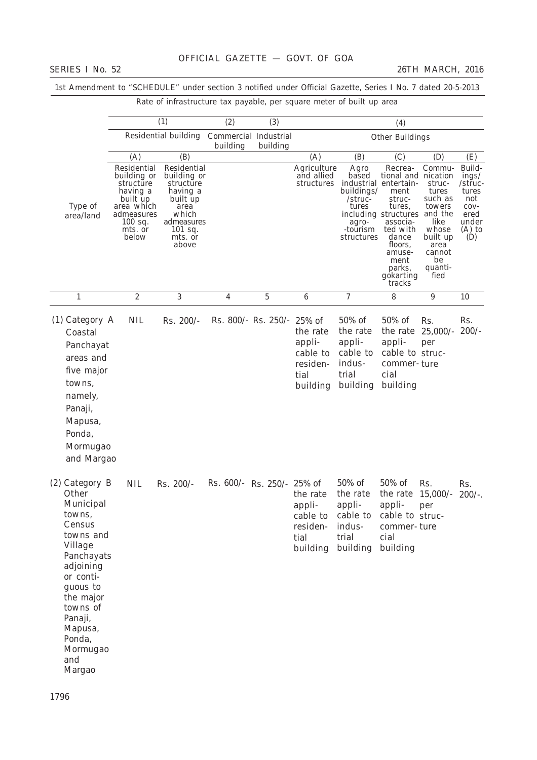| Rate of infrastructure tax payable, per square meter of built up area                                                                                                                                                        |                                                                                                                              |                                                                                                                                 |                            |                            |                                                                                  |                                                                                    |                                                                                                                                                                                                                    |                                                                                                                        |                                                                                          |
|------------------------------------------------------------------------------------------------------------------------------------------------------------------------------------------------------------------------------|------------------------------------------------------------------------------------------------------------------------------|---------------------------------------------------------------------------------------------------------------------------------|----------------------------|----------------------------|----------------------------------------------------------------------------------|------------------------------------------------------------------------------------|--------------------------------------------------------------------------------------------------------------------------------------------------------------------------------------------------------------------|------------------------------------------------------------------------------------------------------------------------|------------------------------------------------------------------------------------------|
|                                                                                                                                                                                                                              |                                                                                                                              | (1)                                                                                                                             | (2)                        | (3)                        |                                                                                  |                                                                                    | (4)                                                                                                                                                                                                                |                                                                                                                        |                                                                                          |
|                                                                                                                                                                                                                              |                                                                                                                              | Residential building Commercial Industrial                                                                                      | building                   | building                   |                                                                                  |                                                                                    | Other Buildings                                                                                                                                                                                                    |                                                                                                                        |                                                                                          |
|                                                                                                                                                                                                                              | (A)                                                                                                                          | (B)                                                                                                                             |                            |                            | (A)                                                                              | (B)                                                                                | (C)                                                                                                                                                                                                                | (D)                                                                                                                    | (E)                                                                                      |
| Type of<br>area/land                                                                                                                                                                                                         | Residential<br>building or<br>structure<br>having a<br>built up<br>area which<br>admeasures<br>$100$ sq.<br>mts. or<br>below | Residential<br>building or<br>structure<br>having a<br>built up<br>area<br>which<br>admeasures<br>$101$ sq.<br>mts. or<br>above |                            |                            | Agriculture<br>and allied<br>structures                                          | Agro<br>based<br>buildings/<br>/struc-<br>tures<br>agro-<br>-tourism<br>structures | Recrea-<br>tional and nication<br>industrial entertain-<br>ment<br>struc-<br>tures,<br>including structures and the<br>associa-<br>ted with<br>dance<br>floors,<br>amuse-<br>ment<br>parks,<br>gokarting<br>tracks | Commu-<br>struc-<br>tures<br>such as<br>towers<br>like<br>whose<br>built up<br>area<br>cannot<br>be<br>quanti-<br>fied | Build-<br>ings/<br>/struc-<br>tures<br>not<br>$COV-$<br>ered<br>under<br>$(A)$ to<br>(D) |
| $\mathbf{1}$                                                                                                                                                                                                                 | $\boldsymbol{2}$                                                                                                             | 3                                                                                                                               | 4                          | $\mathbf 5$                | $\boldsymbol{6}$                                                                 | $\boldsymbol{7}$                                                                   | 8                                                                                                                                                                                                                  | 9                                                                                                                      | 10                                                                                       |
| $(1)$ Category A<br>Coastal<br>Panchayat<br>areas and<br>five major<br>towns,<br>namely,<br>Panaji,<br>Mapusa,<br>Ponda,<br>Mormugao<br>and Margao                                                                           | <b>NIL</b>                                                                                                                   | Rs. 200/-                                                                                                                       |                            | Rs. 800/- Rs. 250/- 25% of | the rate<br>appli-<br>cable to<br>residen-<br>tial<br>building                   | 50% of<br>the rate<br>appli-<br>cable to<br>indus-<br>trial<br>building            | 50% of<br>the rate<br>appli-<br>cable to struc-<br>commer-ture<br>cial<br>building                                                                                                                                 | Rs.<br>$25,000/$ -<br>per                                                                                              | Rs.<br>$200/-$                                                                           |
| $(2)$ Category B<br>Other<br>Municipal<br>towns,<br>Census<br>towns and<br>Village<br>Panchayats<br>adjoining<br>or conti-<br>guous to<br>the major<br>towns of<br>Panaji,<br>Mapusa,<br>Ponda,<br>Mormugao<br>and<br>Margao | <b>NIL</b>                                                                                                                   | Rs. 200/-                                                                                                                       | Rs. 600/- Rs. 250/- 25% of |                            | the rate<br>appli-<br>cable to<br>residen-<br>tial<br>building building building | 50% of<br>the rate<br>appli-<br>cable to<br>indus-<br>trial                        | 50% of<br>the rate $15,000/-$<br>appli-<br>cable to struc-<br>commer-ture<br>cial                                                                                                                                  | Rs.<br>per                                                                                                             | Rs.<br>$200/-$ .                                                                         |

1st Amendment to "SCHEDULE" under section 3 notified under Official Gazette, Series I No. 7 dated 20-5-2013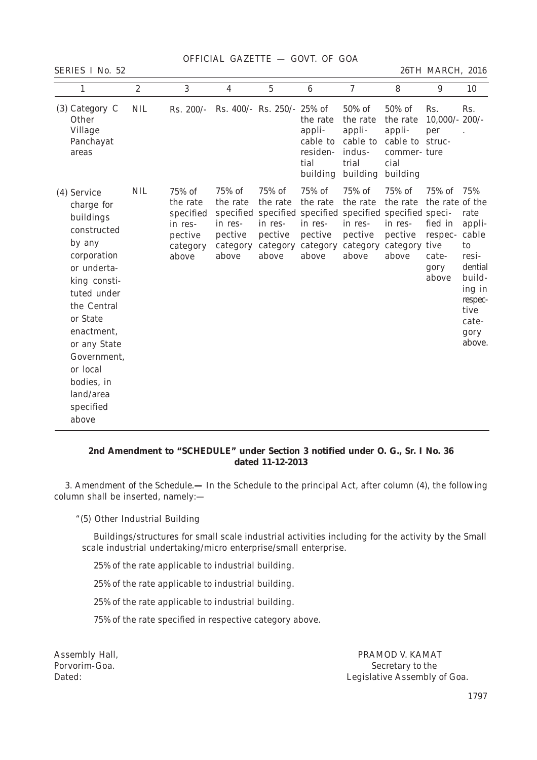OFFICIAL GAZETTE — GOVT. OF GOA

*SERIES I No. 52 26TH MARCH, 2016*

| 1                                                                                                                                                                                                                                                                 | $\boldsymbol{2}$ | 3                                                                          | 4                                                             | $\overline{5}$                                    | $6\phantom{1}6$                                                        | 7                                                                       | 8                                                                                                                         | 9                                                                                 | 10                                                                                                                         |
|-------------------------------------------------------------------------------------------------------------------------------------------------------------------------------------------------------------------------------------------------------------------|------------------|----------------------------------------------------------------------------|---------------------------------------------------------------|---------------------------------------------------|------------------------------------------------------------------------|-------------------------------------------------------------------------|---------------------------------------------------------------------------------------------------------------------------|-----------------------------------------------------------------------------------|----------------------------------------------------------------------------------------------------------------------------|
| $(3)$ Category C<br>Other<br>Village<br>Panchayat<br>areas                                                                                                                                                                                                        | <b>NIL</b>       | $Rs. 200/-$                                                                |                                                               | Rs. 400/- Rs. 250/- 25% of                        | the rate<br>appli-<br>cable to<br>residen-<br>tial<br>building         | 50% of<br>the rate<br>appli-<br>cable to<br>indus-<br>trial<br>building | 50% of<br>the rate<br>appli-<br>cable to struc-<br>commer-ture<br>cial<br>building                                        | Rs.<br>$10,000/$ - 200/-<br>per                                                   | Rs.                                                                                                                        |
| (4) Service<br>charge for<br>buildings<br>constructed<br>by any<br>corporation<br>or underta-<br>king consti-<br>tuted under<br>the Central<br>or State<br>enactment.<br>or any State<br>Government,<br>or local<br>bodies, in<br>land/area<br>specified<br>above | <b>NIL</b>       | 75% of<br>the rate<br>specified<br>in res-<br>pective<br>category<br>above | 75% of<br>the rate<br>in res-<br>pective<br>category<br>above | 75% of<br>the rate<br>in res-<br>pective<br>above | 75% of<br>the rate<br>in res-<br>pective<br>category category<br>above | 75% of<br>the rate<br>in res-<br>pective<br>category<br>above           | 75% of<br>the rate<br>specified specified specified specified specified speci-<br>in res-<br>pective<br>category<br>above | 75% of<br>the rate of the<br>fied in<br>respec-<br>tive<br>cate-<br>gory<br>above | 75%<br>rate<br>appli-<br>cable<br>to<br>resi-<br>dential<br>build-<br>ing in<br>respec-<br>tive<br>cate-<br>gory<br>above. |

# **2nd Amendment to "SCHEDULE" under Section 3 notified under O. G., Sr. I No. 36 dated 11-12-2013**

3. *Amendment of the Schedule.***—** In the Schedule to the principal Act, after column (4), the following column shall be inserted, namely:—

"(5) Other Industrial Building

Buildings/structures for small scale industrial activities including for the activity by the Small scale industrial undertaking/micro enterprise/small enterprise.

25% of the rate applicable to industrial building.

25% of the rate applicable to industrial building.

25% of the rate applicable to industrial building.

75% of the rate specified in respective category above.

Assembly Hall, PRAMOD V. KAMAT Porvorim-Goa. Secretary to the Dated: Legislative Assembly of Goa.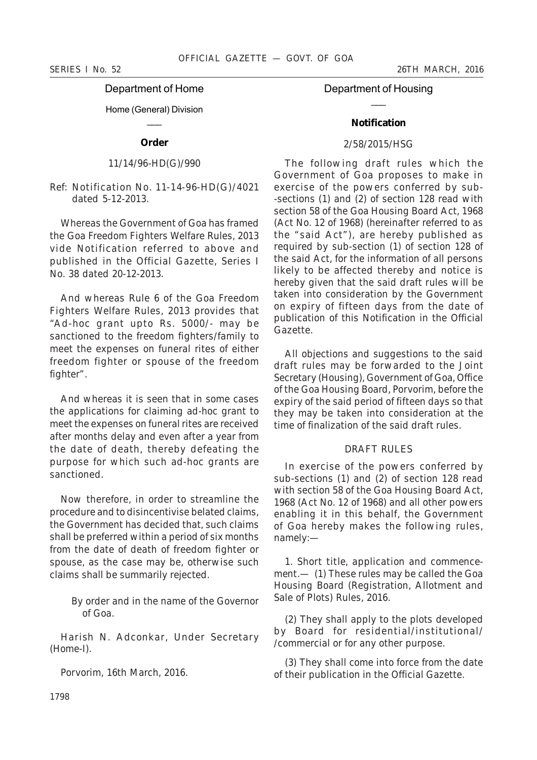# *SERIES I No. 52 26TH MARCH, 2016*

# Department of Home

#### Home (General) Division  $\overline{\phantom{a}}$

# **Order**

# 11/14/96-HD(G)/990

Ref: Notification No. 11-14-96-HD(G)/4021 dated 5-12-2013.

Whereas the Government of Goa has framed the Goa Freedom Fighters Welfare Rules, 2013 vide Notification referred to above and published in the Official Gazette, Series I No. 38 dated 20-12-2013.

And whereas Rule 6 of the Goa Freedom Fighters Welfare Rules, 2013 provides that "Ad-hoc grant upto Rs. 5000/- may be sanctioned to the freedom fighters/family to meet the expenses on funeral rites of either freedom fighter or spouse of the freedom fighter".

And whereas it is seen that in some cases the applications for claiming ad-hoc grant to meet the expenses on funeral rites are received after months delay and even after a year from the date of death, thereby defeating the purpose for which such ad-hoc grants are sanctioned.

Now therefore, in order to streamline the procedure and to disincentivise belated claims, the Government has decided that, such claims shall be preferred within a period of six months from the date of death of freedom fighter or spouse, as the case may be, otherwise such claims shall be summarily rejected.

> By order and in the name of the Governor of Goa.

*Harish N. Adconkar*, Under Secretary (Home-I).

Porvorim, 16th March, 2016.

Department of Housing  $\overline{\phantom{a}}$ 

# **Notification**

# 2/58/2015/HSG

The following draft rules which the Government of Goa proposes to make in exercise of the powers conferred by sub- -sections (*1*) and (*2*) of section 128 read with section 58 of the Goa Housing Board Act, 1968 (Act No. 12 of 1968) (hereinafter referred to as the "said Act"), are hereby published as required by sub-section (*1*) of section 128 of the said Act, for the information of all persons likely to be affected thereby and notice is hereby given that the said draft rules will be taken into consideration by the Government on expiry of fifteen days from the date of publication of this Notification in the Official Gazette.

All objections and suggestions to the said draft rules may be forwarded to the Joint Secretary (Housing), Government of Goa, Office of the Goa Housing Board, Porvorim, before the expiry of the said period of fifteen days so that they may be taken into consideration at the time of finalization of the said draft rules.

# DRAFT RULES

In exercise of the powers conferred by sub-sections (*1*) and (*2*) of section 128 read with section 58 of the Goa Housing Board Act, 1968 (Act No. 12 of 1968) and all other powers enabling it in this behalf, the Government of Goa hereby makes the following rules, namely:—

1. *Short title, application and commencement*.— (*1*) These rules may be called the Goa Housing Board (Registration, Allotment and Sale of Plots) Rules, 2016.

(*2*) They shall apply to the plots developed by Board for residential/institutional/ /commercial or for any other purpose.

(*3*) They shall come into force from the date of their publication in the Official Gazette.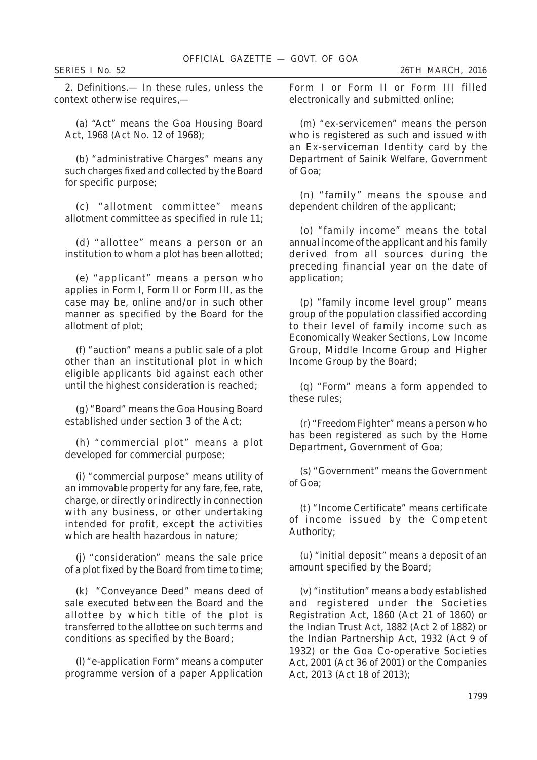2. *Definitions*.— In these rules, unless the context otherwise requires,—

(*a*) "Act" means the Goa Housing Board Act, 1968 (Act No. 12 of 1968);

(*b*) "administrative Charges" means any such charges fixed and collected by the Board for specific purpose;

(*c*) "allotment committee" means allotment committee as specified in rule 11;

(*d*) "allottee" means a person or an institution to whom a plot has been allotted;

(*e*) "applicant" means a person who applies in Form I, Form II or Form III, as the case may be, online and/or in such other manner as specified by the Board for the allotment of plot;

(*f*) "auction" means a public sale of a plot other than an institutional plot in which eligible applicants bid against each other until the highest consideration is reached;

(*g*) "Board" means the Goa Housing Board established under section 3 of the Act;

(*h*) "commercial plot" means a plot developed for commercial purpose;

(*i*) "commercial purpose" means utility of an immovable property for any fare, fee, rate, charge, or directly or indirectly in connection with any business, or other undertaking intended for profit, except the activities which are health hazardous in nature;

(*j*) "consideration" means the sale price of a plot fixed by the Board from time to time;

(*k*) "Conveyance Deed" means deed of sale executed between the Board and the allottee by which title of the plot is transferred to the allottee on such terms and conditions as specified by the Board;

(*l*) "e-application Form" means a computer programme version of a paper Application Form I or Form II or Form III filled electronically and submitted online;

(*m*) "ex-servicemen" means the person who is registered as such and issued with an Ex-serviceman Identity card by the Department of Sainik Welfare, Government of Goa;

(*n*) "family" means the spouse and dependent children of the applicant;

(*o*) "family income" means the total annual income of the applicant and his family derived from all sources during the preceding financial year on the date of application;

(*p*) "family income level group" means group of the population classified according to their level of family income such as Economically Weaker Sections, Low Income Group, Middle Income Group and Higher Income Group by the Board;

(*q*) "Form" means a form appended to these rules;

(*r*) "Freedom Fighter" means a person who has been registered as such by the Home Department, Government of Goa;

(*s*) "Government" means the Government of Goa;

(*t*) "Income Certificate" means certificate of income issued by the Competent Authority;

(*u*) "initial deposit" means a deposit of an amount specified by the Board;

(*v*) "institution" means a body established and registered under the Societies Registration Act, 1860 (Act 21 of 1860) or the Indian Trust Act, 1882 (Act 2 of 1882) or the Indian Partnership Act, 1932 (Act 9 of 1932) or the Goa Co-operative Societies Act, 2001 (Act 36 of 2001) or the Companies Act, 2013 (Act 18 of 2013);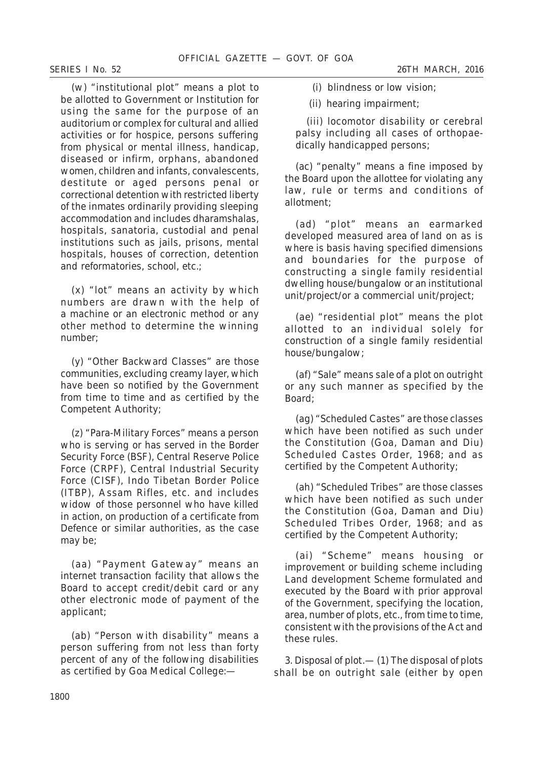(w) "institutional plot" means a plot to be allotted to Government or Institution for using the same for the purpose of an auditorium or complex for cultural and allied activities or for hospice, persons suffering from physical or mental illness, handicap, diseased or infirm, orphans, abandoned women, children and infants, convalescents, destitute or aged persons penal or correctional detention with restricted liberty of the inmates ordinarily providing sleeping accommodation and includes dharamshalas, hospitals, sanatoria, custodial and penal institutions such as jails, prisons, mental hospitals, houses of correction, detention and reformatories, school, etc.;

(*x*) "lot" means an activity by which numbers are drawn with the help of a machine or an electronic method or any other method to determine the winning number;

(*y*) "Other Backward Classes" are those communities, excluding creamy layer, which have been so notified by the Government from time to time and as certified by the Competent Authority;

(*z*) "Para-Military Forces" means a person who is serving or has served in the Border Security Force (BSF), Central Reserve Police Force (CRPF), Central Industrial Security Force (CISF), Indo Tibetan Border Police (ITBP), Assam Rifles, etc. and includes widow of those personnel who have killed in action, on production of a certificate from Defence or similar authorities, as the case may be;

(*aa*) "Payment Gateway" means an internet transaction facility that allows the Board to accept credit/debit card or any other electronic mode of payment of the applicant;

(*ab*) "Person with disability" means a person suffering from not less than forty percent of any of the following disabilities as certified by Goa Medical College:—

(i) blindness or low vision;

(ii) hearing impairment;

(iii) locomotor disability or cerebral palsy including all cases of orthopaedically handicapped persons;

(*ac*) "penalty" means a fine imposed by the Board upon the allottee for violating any law, rule or terms and conditions of allotment;

(*ad*) "plot" means an earmarked developed measured area of land on as is where is basis having specified dimensions and boundaries for the purpose of constructing a single family residential dwelling house/bungalow or an institutional unit/project/or a commercial unit/project;

(*ae*) "residential plot" means the plot allotted to an individual solely for construction of a single family residential house/bungalow;

(*af*) "Sale" means sale of a plot on outright or any such manner as specified by the Board;

(*ag*) "Scheduled Castes" are those classes which have been notified as such under the Constitution (Goa, Daman and Diu) Scheduled Castes Order, 1968; and as certified by the Competent Authority;

(*ah*) "Scheduled Tribes" are those classes which have been notified as such under the Constitution (Goa, Daman and Diu) Scheduled Tribes Order, 1968; and as certified by the Competent Authority;

(*ai*) "Scheme" means housing or improvement or building scheme including Land development Scheme formulated and executed by the Board with prior approval of the Government, specifying the location, area, number of plots, etc., from time to time, consistent with the provisions of the Act and these rules.

3. *Disposal of plot*.— (*1*) The disposal of plots shall be on outright sale (either by open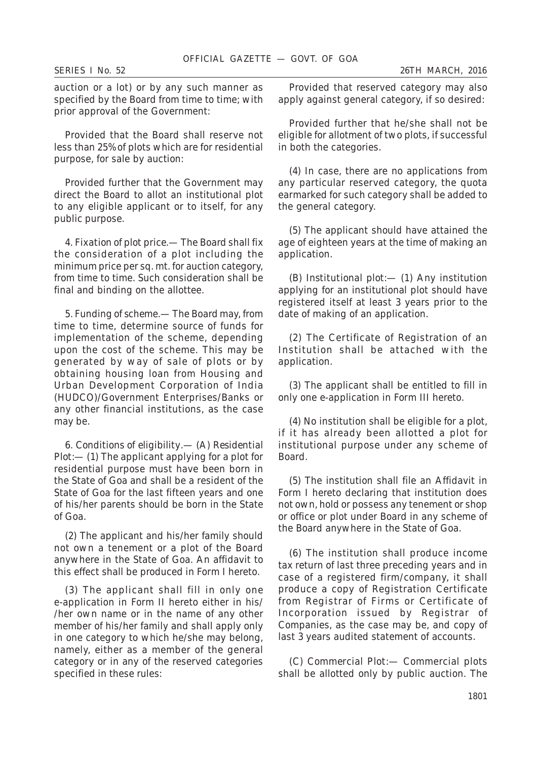auction or a lot) or by any such manner as specified by the Board from time to time; with prior approval of the Government:

Provided that the Board shall reserve not less than 25% of plots which are for residential purpose, for sale by auction:

Provided further that the Government may direct the Board to allot an institutional plot to any eligible applicant or to itself, for any public purpose.

4. *Fixation of plot price*.— The Board shall fix the consideration of a plot including the minimum price per sq. mt. for auction category, from time to time. Such consideration shall be final and binding on the allottee.

5. *Funding of scheme*.— The Board may, from time to time, determine source of funds for implementation of the scheme, depending upon the cost of the scheme. This may be generated by way of sale of plots or by obtaining housing loan from Housing and Urban Development Corporation of India (HUDCO)/Government Enterprises/Banks or any other financial institutions, as the case may be.

6. *Conditions of eligibility*.— (A) *Residential Plot:*— (*1*) The applicant applying for a plot for residential purpose must have been born in the State of Goa and shall be a resident of the State of Goa for the last fifteen years and one of his/her parents should be born in the State of Goa.

(*2*) The applicant and his/her family should not own a tenement or a plot of the Board anywhere in the State of Goa. An affidavit to this effect shall be produced in Form I hereto.

(*3*) The applicant shall fill in only one e-application in Form II hereto either in his/ /her own name or in the name of any other member of his/her family and shall apply only in one category to which he/she may belong, namely, either as a member of the general category or in any of the reserved categories specified in these rules:

Provided that reserved category may also apply against general category, if so desired:

Provided further that he/she shall not be eligible for allotment of two plots, if successful in both the categories.

(*4*) In case, there are no applications from any particular reserved category, the quota earmarked for such category shall be added to the general category.

(*5*) The applicant should have attained the age of eighteen years at the time of making an application.

(B) *Institutional plot*:— (*1*) Any institution applying for an institutional plot should have registered itself at least 3 years prior to the date of making of an application.

(*2*) The Certificate of Registration of an Institution shall be attached with the application.

(*3*) The applicant shall be entitled to fill in only one e-application in Form III hereto.

(*4*) No institution shall be eligible for a plot, if it has already been allotted a plot for institutional purpose under any scheme of Board.

(*5*) The institution shall file an Affidavit in Form I hereto declaring that institution does not own, hold or possess any tenement or shop or office or plot under Board in any scheme of the Board anywhere in the State of Goa.

(*6*) The institution shall produce income tax return of last three preceding years and in case of a registered firm/company, it shall produce a copy of Registration Certificate from Registrar of Firms or Certificate of Incorporation issued by Registrar of Companies, as the case may be, and copy of last 3 years audited statement of accounts.

(C) *Commercial Plot*:— Commercial plots shall be allotted only by public auction. The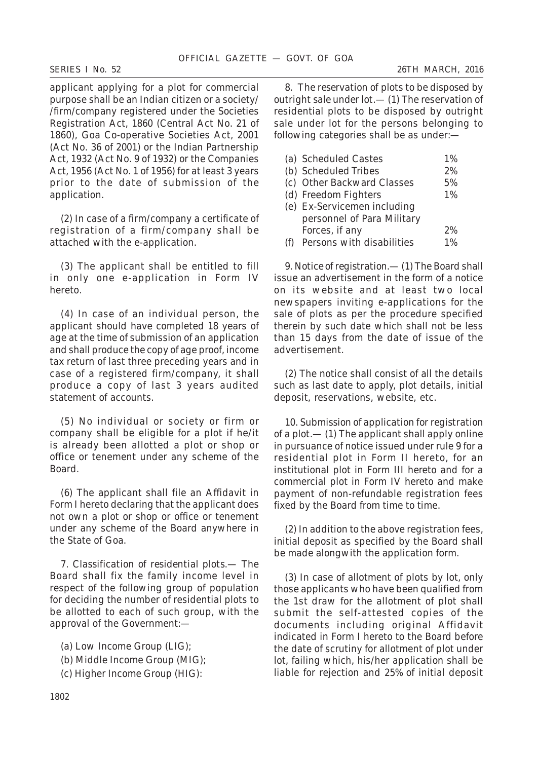applicant applying for a plot for commercial purpose shall be an Indian citizen or a society/ /firm/company registered under the Societies Registration Act, 1860 (Central Act No. 21 of 1860), Goa Co-operative Societies Act, 2001 (Act No. 36 of 2001) or the Indian Partnership Act, 1932 (Act No. 9 of 1932) or the Companies Act, 1956 (Act No. 1 of 1956) for at least 3 years prior to the date of submission of the application.

(*2*) In case of a firm/company a certificate of registration of a firm/company shall be attached with the e-application.

(*3*) The applicant shall be entitled to fill in only one e-application in Form IV hereto.

(*4*) In case of an individual person, the applicant should have completed 18 years of age at the time of submission of an application and shall produce the copy of age proof, income tax return of last three preceding years and in case of a registered firm/company, it shall produce a copy of last 3 years audited statement of accounts.

(*5*) No individual or society or firm or company shall be eligible for a plot if he/it is already been allotted a plot or shop or office or tenement under any scheme of the Board.

(*6*) The applicant shall file an Affidavit in Form I hereto declaring that the applicant does not own a plot or shop or office or tenement under any scheme of the Board anywhere in the State of Goa.

7. *Classification of residential plots*.— The Board shall fix the family income level in respect of the following group of population for deciding the number of residential plots to be allotted to each of such group, with the approval of the Government:—

(*a*) Low Income Group (LIG);

- (*b*) Middle Income Group (MIG);
- (*c*) Higher Income Group (HIG):

8. *The reservation of plots to be disposed by outright sale under lot.*— (*1*) The reservation of residential plots to be disposed by outright sale under lot for the persons belonging to following categories shall be as under:—

| (a) Scheduled Castes        | $1\%$ |
|-----------------------------|-------|
| (b) Scheduled Tribes        | 2%    |
| (c) Other Backward Classes  | 5%    |
| (d) Freedom Fighters        | 1%    |
| (e) Ex-Servicemen including |       |
| personnel of Para Military  |       |
| Forces, if any              | 2%    |
| Persons with disabilities   | $1\%$ |

9. *Notice of registration*.— (*1*) The Board shall issue an advertisement in the form of a notice on its website and at least two local newspapers inviting e-applications for the sale of plots as per the procedure specified therein by such date which shall not be less than 15 days from the date of issue of the advertisement.

(*2*) The notice shall consist of all the details such as last date to apply, plot details, initial deposit, reservations, website, etc.

10. *Submission of application for registration of a plot.*— (*1*) The applicant shall apply online in pursuance of notice issued under rule 9 for a residential plot in Form II hereto, for an institutional plot in Form III hereto and for a commercial plot in Form IV hereto and make payment of non-refundable registration fees fixed by the Board from time to time.

(*2*) In addition to the above registration fees, initial deposit as specified by the Board shall be made alongwith the application form.

(*3*) In case of allotment of plots by lot, only those applicants who have been qualified from the 1st draw for the allotment of plot shall submit the self-attested copies of the documents including original Affidavit indicated in Form I hereto to the Board before the date of scrutiny for allotment of plot under lot, failing which, his/her application shall be liable for rejection and 25% of initial deposit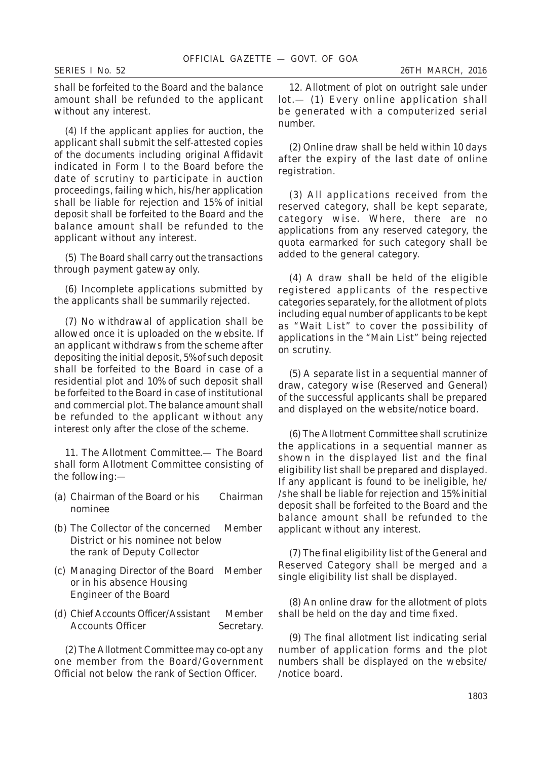shall be forfeited to the Board and the balance amount shall be refunded to the applicant without any interest.

(*4*) If the applicant applies for auction, the applicant shall submit the self-attested copies of the documents including original Affidavit indicated in Form I to the Board before the date of scrutiny to participate in auction proceedings, failing which, his/her application shall be liable for rejection and 15% of initial deposit shall be forfeited to the Board and the balance amount shall be refunded to the applicant without any interest.

(*5*) The Board shall carry out the transactions through payment gateway only.

(*6*) Incomplete applications submitted by the applicants shall be summarily rejected.

(*7*) No withdrawal of application shall be allowed once it is uploaded on the website. If an applicant withdraws from the scheme after depositing the initial deposit, 5% of such deposit shall be forfeited to the Board in case of a residential plot and 10% of such deposit shall be forfeited to the Board in case of institutional and commercial plot. The balance amount shall be refunded to the applicant without any interest only after the close of the scheme.

11. *The Allotment Committee*.— The Board shall form Allotment Committee consisting of the following:—

- (a) Chairman of the Board or his Chairman nominee
- (b) The Collector of the concerned Member District or his nominee not below the rank of Deputy Collector
- (c) Managing Director of the Board Member or in his absence Housing Engineer of the Board
- (d) Chief Accounts Officer/Assistant Member Accounts Officer Secretary.

(2) The Allotment Committee may co-opt any one member from the Board/Government Official not below the rank of Section Officer.

12. *Allotment of plot on outright sale under lot*.— (*1*) Every online application shall be generated with a computerized serial number.

(*2*) Online draw shall be held within 10 days after the expiry of the last date of online registration.

(*3*) All applications received from the reserved category, shall be kept separate, category wise. Where, there are no applications from any reserved category, the quota earmarked for such category shall be added to the general category.

(*4*) A draw shall be held of the eligible registered applicants of the respective categories separately, for the allotment of plots including equal number of applicants to be kept as "Wait List" to cover the possibility of applications in the "Main List" being rejected on scrutiny.

(*5*) A separate list in a sequential manner of draw, category wise (Reserved and General) of the successful applicants shall be prepared and displayed on the website/notice board.

(*6*) The Allotment Committee shall scrutinize the applications in a sequential manner as shown in the displayed list and the final eligibility list shall be prepared and displayed. If any applicant is found to be ineligible, he/ /she shall be liable for rejection and 15% initial deposit shall be forfeited to the Board and the balance amount shall be refunded to the applicant without any interest.

(*7*) The final eligibility list of the General and Reserved Category shall be merged and a single eligibility list shall be displayed.

(*8*) An online draw for the allotment of plots shall be held on the day and time fixed.

(*9*) The final allotment list indicating serial number of application forms and the plot numbers shall be displayed on the website/ /notice board.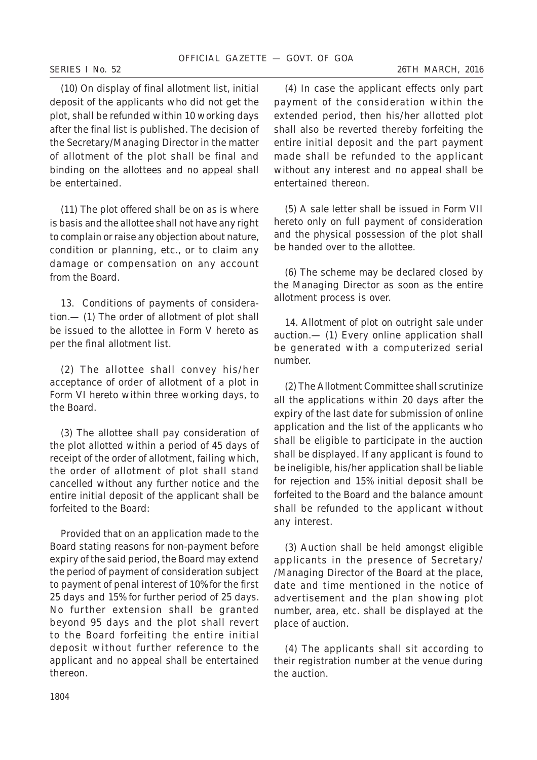(*10*) On display of final allotment list, initial deposit of the applicants who did not get the plot, shall be refunded within 10 working days after the final list is published. The decision of the Secretary/Managing Director in the matter of allotment of the plot shall be final and binding on the allottees and no appeal shall be entertained.

(*11*) The plot offered shall be on as is where is basis and the allottee shall not have any right to complain or raise any objection about nature, condition or planning, etc., or to claim any damage or compensation on any account from the Board.

13. *Conditions of payments of consideration*.— (*1*) The order of allotment of plot shall be issued to the allottee in Form V hereto as per the final allotment list.

(*2*) The allottee shall convey his/her acceptance of order of allotment of a plot in Form VI hereto within three working days, to the Board.

(*3*) The allottee shall pay consideration of the plot allotted within a period of 45 days of receipt of the order of allotment, failing which, the order of allotment of plot shall stand cancelled without any further notice and the entire initial deposit of the applicant shall be forfeited to the Board:

Provided that on an application made to the Board stating reasons for non-payment before expiry of the said period, the Board may extend the period of payment of consideration subject to payment of penal interest of 10% for the first 25 days and 15% for further period of 25 days. No further extension shall be granted beyond 95 days and the plot shall revert to the Board forfeiting the entire initial deposit without further reference to the applicant and no appeal shall be entertained thereon.

(*4*) In case the applicant effects only part payment of the consideration within the extended period, then his/her allotted plot shall also be reverted thereby forfeiting the entire initial deposit and the part payment made shall be refunded to the applicant without any interest and no appeal shall be entertained thereon.

(*5*) A sale letter shall be issued in Form VII hereto only on full payment of consideration and the physical possession of the plot shall be handed over to the allottee.

(*6*) The scheme may be declared closed by the Managing Director as soon as the entire allotment process is over.

14. *Allotment of plot on outright sale under auction*.— (*1*) Every online application shall be generated with a computerized serial number.

(*2*) The Allotment Committee shall scrutinize all the applications within 20 days after the expiry of the last date for submission of online application and the list of the applicants who shall be eligible to participate in the auction shall be displayed. If any applicant is found to be ineligible, his/her application shall be liable for rejection and 15% initial deposit shall be forfeited to the Board and the balance amount shall be refunded to the applicant without any interest.

(*3*) Auction shall be held amongst eligible applicants in the presence of Secretary/ /Managing Director of the Board at the place, date and time mentioned in the notice of advertisement and the plan showing plot number, area, etc. shall be displayed at the place of auction.

(*4*) The applicants shall sit according to their registration number at the venue during the auction.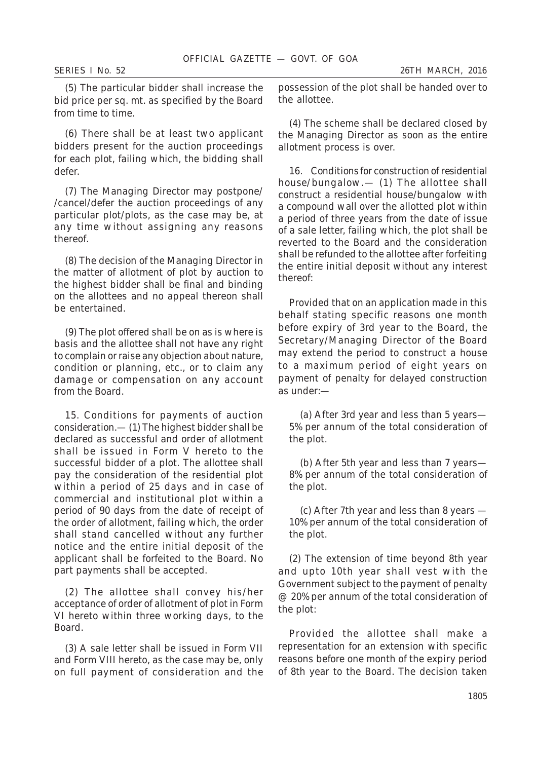*SERIES I No. 52 26TH MARCH, 2016*

(*5*) The particular bidder shall increase the bid price per sq. mt. as specified by the Board from time to time.

(*6*) There shall be at least two applicant bidders present for the auction proceedings for each plot, failing which, the bidding shall defer.

(*7*) The Managing Director may postpone/ /cancel/defer the auction proceedings of any particular plot/plots, as the case may be, at any time without assigning any reasons thereof.

(*8*) The decision of the Managing Director in the matter of allotment of plot by auction to the highest bidder shall be final and binding on the allottees and no appeal thereon shall be entertained.

(*9*) The plot offered shall be on as is where is basis and the allottee shall not have any right to complain or raise any objection about nature, condition or planning, etc., or to claim any damage or compensation on any account from the Board.

15. *Conditions for payments of auction consideration*.— (*1*) The highest bidder shall be declared as successful and order of allotment shall be issued in Form V hereto to the successful bidder of a plot. The allottee shall pay the consideration of the residential plot within a period of 25 days and in case of commercial and institutional plot within a period of 90 days from the date of receipt of the order of allotment, failing which, the order shall stand cancelled without any further notice and the entire initial deposit of the applicant shall be forfeited to the Board. No part payments shall be accepted.

(*2*) The allottee shall convey his/her acceptance of order of allotment of plot in Form VI hereto within three working days, to the Board.

(*3*) A sale letter shall be issued in Form VII and Form VIII hereto, as the case may be, only on full payment of consideration and the possession of the plot shall be handed over to the allottee.

(*4*) The scheme shall be declared closed by the Managing Director as soon as the entire allotment process is over.

16. *Conditions for construction of residential house/bungalow*.— (*1*) The allottee shall construct a residential house/bungalow with a compound wall over the allotted plot within a period of three years from the date of issue of a sale letter, failing which, the plot shall be reverted to the Board and the consideration shall be refunded to the allottee after forfeiting the entire initial deposit without any interest thereof:

Provided that on an application made in this behalf stating specific reasons one month before expiry of 3rd year to the Board, the Secretary/Managing Director of the Board may extend the period to construct a house to a maximum period of eight years on payment of penalty for delayed construction as under:—

(*a*) After 3rd year and less than 5 years— 5% per annum of the total consideration of the plot.

(*b*) After 5th year and less than 7 years— 8% per annum of the total consideration of the plot.

(*c*) After 7th year and less than 8 years — 10% per annum of the total consideration of the plot.

(*2*) The extension of time beyond 8th year and upto 10th year shall vest with the Government subject to the payment of penalty @ 20% per annum of the total consideration of the plot:

Provided the allottee shall make a representation for an extension with specific reasons before one month of the expiry period of 8th year to the Board. The decision taken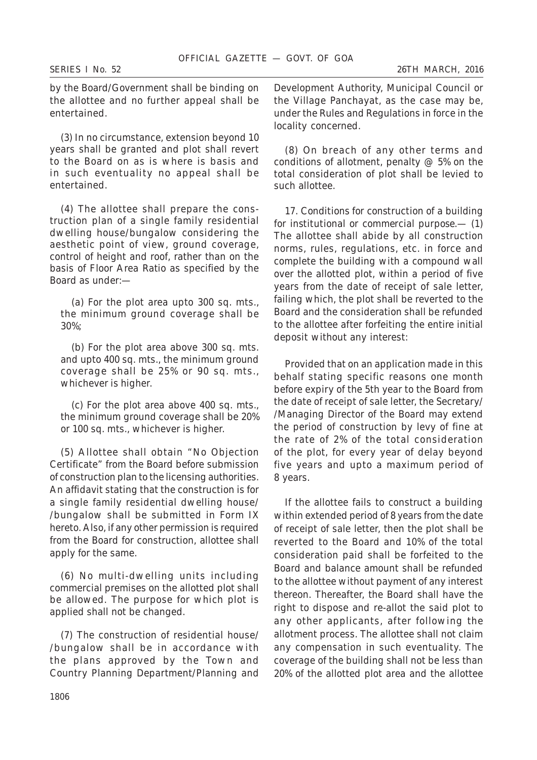by the Board/Government shall be binding on the allottee and no further appeal shall be entertained.

(*3*) In no circumstance, extension beyond 10 years shall be granted and plot shall revert to the Board on as is where is basis and in such eventuality no appeal shall be entertained.

(*4*) The allottee shall prepare the construction plan of a single family residential dwelling house/bungalow considering the aesthetic point of view, ground coverage, control of height and roof, rather than on the basis of Floor Area Ratio as specified by the Board as under:—

(*a*) For the plot area upto 300 sq. mts., the minimum ground coverage shall be 30%;

(*b*) For the plot area above 300 sq. mts. and upto 400 sq. mts., the minimum ground coverage shall be 25% or 90 sq. mts., whichever is higher.

(*c*) For the plot area above 400 sq. mts., the minimum ground coverage shall be 20% or 100 sq. mts., whichever is higher.

(*5*) Allottee shall obtain "No Objection Certificate" from the Board before submission of construction plan to the licensing authorities. An affidavit stating that the construction is for a single family residential dwelling house/ /bungalow shall be submitted in Form IX hereto. Also, if any other permission is required from the Board for construction, allottee shall apply for the same.

(*6*) No multi-dwelling units including commercial premises on the allotted plot shall be allowed. The purpose for which plot is applied shall not be changed.

(*7*) The construction of residential house/ /bungalow shall be in accordance with the plans approved by the Town and Country Planning Department/Planning and

Development Authority, Municipal Council or the Village Panchayat, as the case may be, under the Rules and Regulations in force in the locality concerned.

(*8*) On breach of any other terms and conditions of allotment, penalty @ 5% on the total consideration of plot shall be levied to such allottee.

17. *Conditions for construction of a building for institutional or commercial purpose*.— (*1*) The allottee shall abide by all construction norms, rules, regulations, etc. in force and complete the building with a compound wall over the allotted plot, within a period of five years from the date of receipt of sale letter, failing which, the plot shall be reverted to the Board and the consideration shall be refunded to the allottee after forfeiting the entire initial deposit without any interest:

Provided that on an application made in this behalf stating specific reasons one month before expiry of the 5th year to the Board from the date of receipt of sale letter, the Secretary/ /Managing Director of the Board may extend the period of construction by levy of fine at the rate of 2% of the total consideration of the plot, for every year of delay beyond five years and upto a maximum period of 8 years.

If the allottee fails to construct a building within extended period of 8 years from the date of receipt of sale letter, then the plot shall be reverted to the Board and 10% of the total consideration paid shall be forfeited to the Board and balance amount shall be refunded to the allottee without payment of any interest thereon. Thereafter, the Board shall have the right to dispose and re-allot the said plot to any other applicants, after following the allotment process. The allottee shall not claim any compensation in such eventuality. The coverage of the building shall not be less than 20% of the allotted plot area and the allottee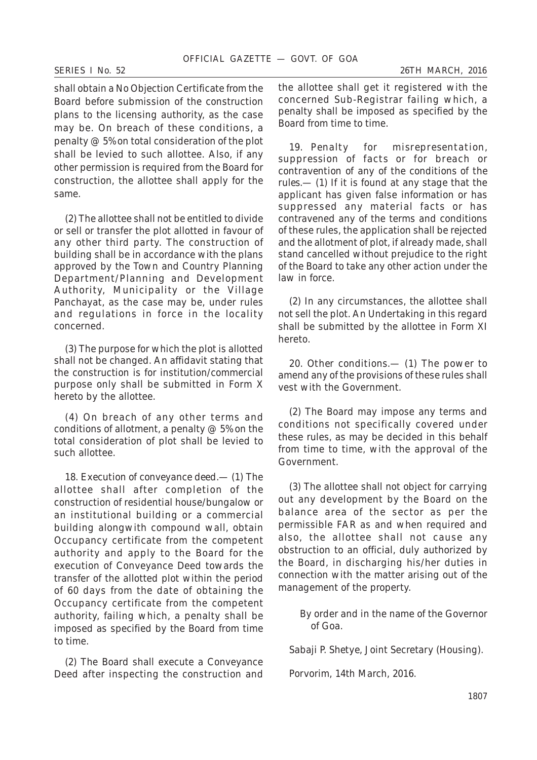shall obtain a No Objection Certificate from the Board before submission of the construction plans to the licensing authority, as the case may be. On breach of these conditions, a penalty @ 5% on total consideration of the plot shall be levied to such allottee. Also, if any other permission is required from the Board for construction, the allottee shall apply for the same.

(*2*) The allottee shall not be entitled to divide or sell or transfer the plot allotted in favour of any other third party. The construction of building shall be in accordance with the plans approved by the Town and Country Planning Department/Planning and Development Authority, Municipality or the Village Panchayat, as the case may be, under rules and regulations in force in the locality concerned.

(*3*) The purpose for which the plot is allotted shall not be changed. An affidavit stating that the construction is for institution/commercial purpose only shall be submitted in Form X hereto by the allottee.

(*4*) On breach of any other terms and conditions of allotment, a penalty  $@$  5% on the total consideration of plot shall be levied to such allottee.

18. *Execution of conveyance deed*.— (*1*) The allottee shall after completion of the construction of residential house/bungalow or an institutional building or a commercial building alongwith compound wall, obtain Occupancy certificate from the competent authority and apply to the Board for the execution of Conveyance Deed towards the transfer of the allotted plot within the period of 60 days from the date of obtaining the Occupancy certificate from the competent authority, failing which, a penalty shall be imposed as specified by the Board from time to time.

(*2*) The Board shall execute a Conveyance Deed after inspecting the construction and the allottee shall get it registered with the concerned Sub-Registrar failing which, a penalty shall be imposed as specified by the Board from time to time.

19. *Penalty for misrepresentation, suppression of facts or for breach or contravention of any of the conditions of the rules*.— (*1*) If it is found at any stage that the applicant has given false information or has suppressed any material facts or has contravened any of the terms and conditions of these rules, the application shall be rejected and the allotment of plot, if already made, shall stand cancelled without prejudice to the right of the Board to take any other action under the law in force.

(*2*) In any circumstances, the allottee shall not sell the plot. An Undertaking in this regard shall be submitted by the allottee in Form XI hereto.

20. *Other conditions*.— (*1*) The power to amend any of the provisions of these rules shall vest with the Government.

(*2*) The Board may impose any terms and conditions not specifically covered under these rules, as may be decided in this behalf from time to time, with the approval of the Government.

(*3*) The allottee shall not object for carrying out any development by the Board on the balance area of the sector as per the permissible FAR as and when required and also, the allottee shall not cause any obstruction to an official, duly authorized by the Board, in discharging his/her duties in connection with the matter arising out of the management of the property.

> By order and in the name of the Governor of Goa.

*Sabaji P. Shetye*, Joint Secretary (Housing).

Porvorim, 14th March, 2016.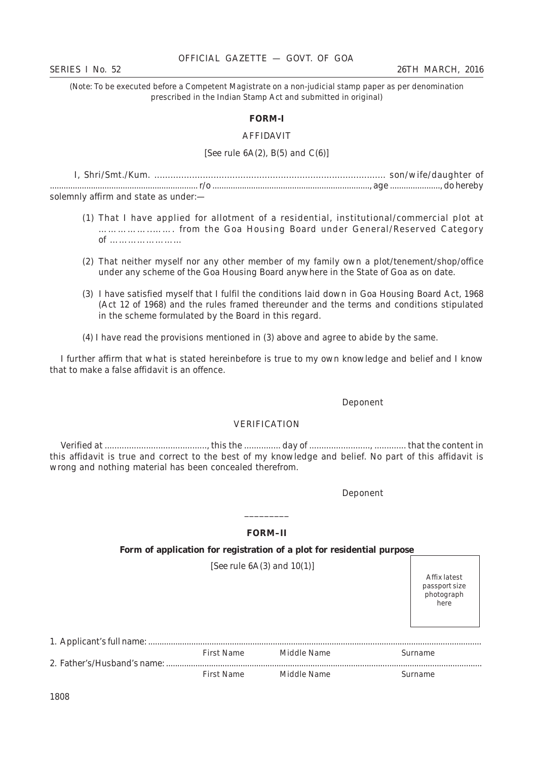### OFFICIAL GAZETTE — GOVT. OF GOA

(*Note*: To be executed before a Competent Magistrate on a non-judicial stamp paper as per denomination prescribed in the Indian Stamp Act and submitted in original)

#### **FORM-I**

#### AFFIDAVIT

#### [*See* rule 6A(*2*), B(*5*) and C(*6*)]

I, Shri/Smt./Kum. ...................................................................................... son/wife/daughter of ................................................................. r/o ....................................................................., age ......................, do hereby solemnly affirm and state as under:—

- (1) That I have applied for allotment of a residential, institutional/commercial plot at ……………..……. from the Goa Housing Board under General/Reserved Category of ……………………
- (2) That neither myself nor any other member of my family own a plot/tenement/shop/office under any scheme of the Goa Housing Board anywhere in the State of Goa as on date.
- (3) I have satisfied myself that I fulfil the conditions laid down in Goa Housing Board Act, 1968 (Act 12 of 1968) and the rules framed thereunder and the terms and conditions stipulated in the scheme formulated by the Board in this regard.
- (4) I have read the provisions mentioned in (3) above and agree to abide by the same.

I further affirm that what is stated hereinbefore is true to my own knowledge and belief and I know that to make a false affidavit is an offence.

#### Deponent

# VERIFICATION

Verified at .........................................., this the ............... day of ........................., ............. that the content in this affidavit is true and correct to the best of my knowledge and belief. No part of this affidavit is wrong and nothing material has been concealed therefrom.

Deponent

# **FORM–II**

\_\_\_\_\_\_\_\_\_

#### **Form of application for registration of a plot for residential purpose**

[*See* rule 6A(*3*) and 10(*1*)]

Affix latest passport size photograph here

| First Name | Middle Name | Surname |
|------------|-------------|---------|
|            |             |         |
| First Name | Middle Name | Surname |

1808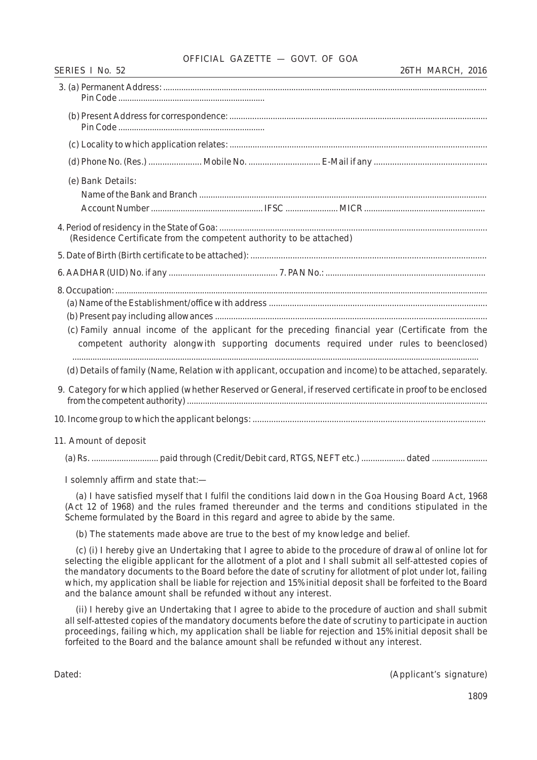# OFFICIAL GAZETTE — GOVT. OF GOA

| <u> 1989 - Johann Stein, marwolaethau a bhann an t-Amhair an t-Amhair an t-Amhair an t-Amhair an t-Amhair an t-A</u>                                                                                      |
|-----------------------------------------------------------------------------------------------------------------------------------------------------------------------------------------------------------|
|                                                                                                                                                                                                           |
|                                                                                                                                                                                                           |
|                                                                                                                                                                                                           |
|                                                                                                                                                                                                           |
| (e) Bank Details:                                                                                                                                                                                         |
| (Residence Certificate from the competent authority to be attached)                                                                                                                                       |
|                                                                                                                                                                                                           |
|                                                                                                                                                                                                           |
|                                                                                                                                                                                                           |
| (c) Family annual income of the applicant for the preceding financial year (Certificate from the<br>competent authority alongwith supporting documents required under rules to beenclosed)                |
| (d) Details of family (Name, Relation with applicant, occupation and income) to be attached, separately.                                                                                                  |
| 9. Category for which applied (whether Reserved or General, if reserved certificate in proof to be enclosed                                                                                               |
|                                                                                                                                                                                                           |
| 11. Amount of deposit                                                                                                                                                                                     |
|                                                                                                                                                                                                           |
| I solemnly affirm and state that:-                                                                                                                                                                        |
| (a) I have satisfied myself that I fulfil the conditions laid down in the Goa Housing Board Act, 1968<br>(A of 10 of 1000) and the wilse framed thereunder and the terms and conditions stimulated in the |

(Act 12 of 1968) and the rules framed thereunder and the terms and conditions stipulated in the Scheme formulated by the Board in this regard and agree to abide by the same.

(b) The statements made above are true to the best of my knowledge and belief.

(c) (i) I hereby give an Undertaking that I agree to abide to the procedure of drawal of online lot for selecting the eligible applicant for the allotment of a plot and I shall submit all self-attested copies of the mandatory documents to the Board before the date of scrutiny for allotment of plot under lot, failing which, my application shall be liable for rejection and 15% initial deposit shall be forfeited to the Board and the balance amount shall be refunded without any interest.

(ii) I hereby give an Undertaking that I agree to abide to the procedure of auction and shall submit all self-attested copies of the mandatory documents before the date of scrutiny to participate in auction proceedings, failing which, my application shall be liable for rejection and 15% initial deposit shall be forfeited to the Board and the balance amount shall be refunded without any interest.

Dated: (Applicant's signature)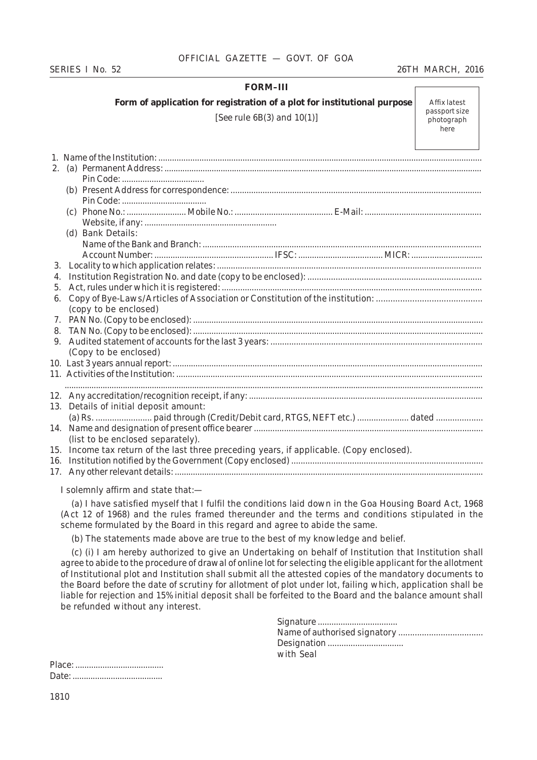# *SERIES I No. 52 26TH MARCH, 2016*

# **FORM–III**

**Form of application for registration of a plot for institutional purpose**

[*See* rule 6B(*3*) and 10(*1*)]

Affix latest passport size photograph here

| 2.                                                                                          |  |
|---------------------------------------------------------------------------------------------|--|
|                                                                                             |  |
|                                                                                             |  |
|                                                                                             |  |
|                                                                                             |  |
|                                                                                             |  |
| (d) Bank Details:                                                                           |  |
|                                                                                             |  |
|                                                                                             |  |
| 3.                                                                                          |  |
| 4.                                                                                          |  |
| 5.                                                                                          |  |
| 6.                                                                                          |  |
| (copy to be enclosed)                                                                       |  |
| 7.                                                                                          |  |
| 8.                                                                                          |  |
| 9.                                                                                          |  |
| (Copy to be enclosed)                                                                       |  |
|                                                                                             |  |
|                                                                                             |  |
|                                                                                             |  |
|                                                                                             |  |
| 13. Details of initial deposit amount:                                                      |  |
|                                                                                             |  |
| 14.                                                                                         |  |
| (list to be enclosed separately).                                                           |  |
| Income tax return of the last three preceding years, if applicable. (Copy enclosed).<br>15. |  |
| 16.                                                                                         |  |
|                                                                                             |  |
|                                                                                             |  |

I solemnly affirm and state that:—

(a) I have satisfied myself that I fulfil the conditions laid down in the Goa Housing Board Act, 1968 (Act 12 of 1968) and the rules framed thereunder and the terms and conditions stipulated in the scheme formulated by the Board in this regard and agree to abide the same.

(b) The statements made above are true to the best of my knowledge and belief.

(c) (i) I am hereby authorized to give an Undertaking on behalf of Institution that Institution shall agree to abide to the procedure of drawal of online lot for selecting the eligible applicant for the allotment of Institutional plot and Institution shall submit all the attested copies of the mandatory documents to the Board before the date of scrutiny for allotment of plot under lot, failing which, application shall be liable for rejection and 15% initial deposit shall be forfeited to the Board and the balance amount shall be refunded without any interest.

| Designation |
|-------------|
| with Seal-  |
|             |

Place: ....................................... Date: ........................................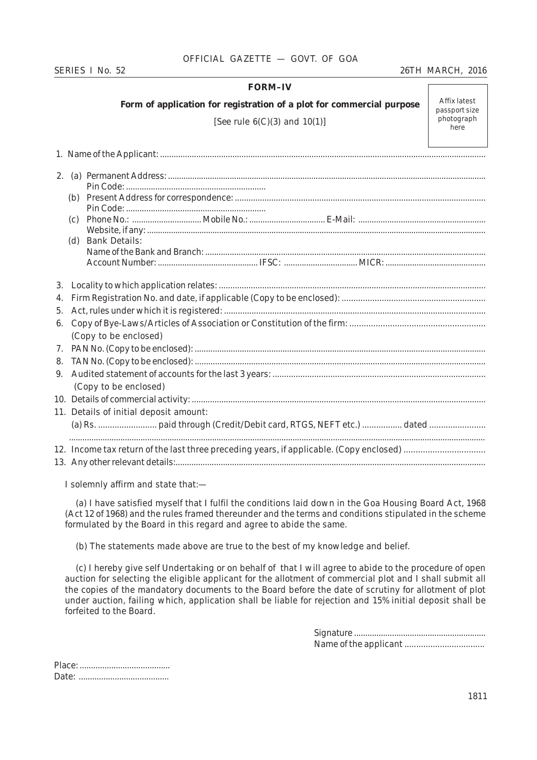# OFFICIAL GAZETTE — GOVT. OF GOA

# *SERIES I No. 52 26TH MARCH, 2016*

### **FORM–IV**

**Form of application for registration of a plot for commercial purpose**

[*See* rule 6(C)(*3*) and 10(*1*)]

Affix latest passport size photograph here

|    | (c) |                                        |
|----|-----|----------------------------------------|
|    |     |                                        |
|    |     | (d) Bank Details:                      |
|    |     |                                        |
|    |     |                                        |
|    |     |                                        |
| 4. |     |                                        |
| 5. |     |                                        |
| 6. |     |                                        |
|    |     | (Copy to be enclosed)                  |
| 7. |     |                                        |
| 8. |     |                                        |
| 9. |     |                                        |
|    |     | (Copy to be enclosed)                  |
|    |     |                                        |
|    |     | 11. Details of initial deposit amount: |
|    |     |                                        |
|    |     |                                        |
|    |     |                                        |
|    |     |                                        |

I solemnly affirm and state that:—

(a) I have satisfied myself that I fulfil the conditions laid down in the Goa Housing Board Act, 1968 (Act 12 of 1968) and the rules framed thereunder and the terms and conditions stipulated in the scheme formulated by the Board in this regard and agree to abide the same.

(b) The statements made above are true to the best of my knowledge and belief.

(c) I hereby give self Undertaking or on behalf of that I will agree to abide to the procedure of open auction for selecting the eligible applicant for the allotment of commercial plot and I shall submit all the copies of the mandatory documents to the Board before the date of scrutiny for allotment of plot under auction, failing which, application shall be liable for rejection and 15% initial deposit shall be forfeited to the Board.

> Signature ........................................................... Name of the applicant ..................................

Place: ........................................ Date: ........................................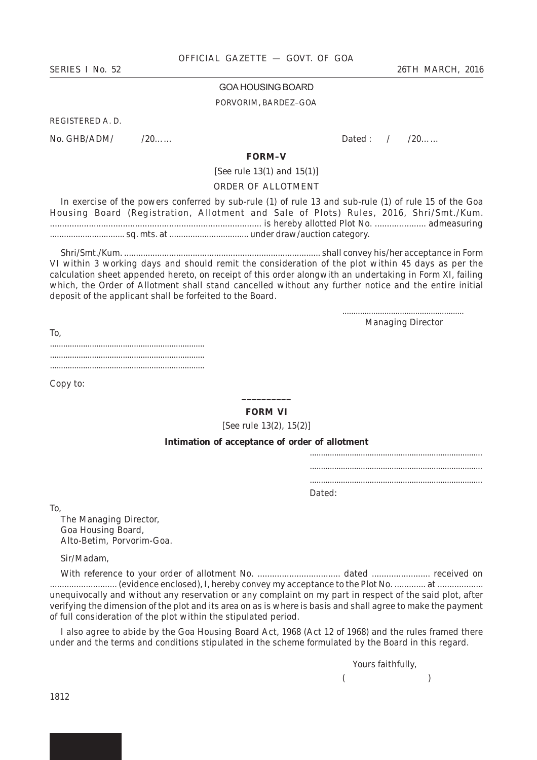#### GOA HOUSING BOARD

#### PORVORIM, BARDEZ–GOA

REGISTERED A. D.

No. GHB/ADM/ /20…… Dated : / /20……

#### **FORM–V**

[*See* rule 13(*1*) and 15(*1*)]

#### ORDER OF ALLOTMENT

In exercise of the powers conferred by sub-rule (*1*) of rule 13 and sub-rule (*1*) of rule 15 of the Goa Housing Board (Registration, Allotment and Sale of Plots) Rules, 2016, Shri/Smt./Kum. ....................................................................................... is hereby allotted Plot No. ..................... admeasuring ................................ sq. mts. at .................................. under draw/auction category.

Shri/Smt./Kum. ................................................................................... shall convey his/her acceptance in Form VI within 3 working days and should remit the consideration of the plot within 45 days as per the calculation sheet appended hereto, on receipt of this order alongwith an undertaking in Form XI, failing which, the Order of Allotment shall stand cancelled without any further notice and the entire initial deposit of the applicant shall be forfeited to the Board.

> ....................................................... Managing Director

To, ...................................................................... ...................................................................... ......................................................................

Copy to:

# \_\_\_\_\_\_\_\_\_\_ **FORM VI**

[*See* rule 13(*2*), 15(*2*)]

### **Intimation of acceptance of order of allotment**

| Dated: |  |
|--------|--|

To,

The Managing Director, Goa Housing Board, Alto-Betim, Porvorim-Goa.

Sir/Madam,

With reference to your order of allotment No. .................................. dated ........................ received on ............................ (evidence enclosed), I, hereby convey my acceptance to the Plot No. ............. at ................... unequivocally and without any reservation or any complaint on my part in respect of the said plot, after verifying the dimension of the plot and its area on as is where is basis and shall agree to make the payment of full consideration of the plot within the stipulated period.

I also agree to abide by the Goa Housing Board Act, 1968 (Act 12 of 1968) and the rules framed there under and the terms and conditions stipulated in the scheme formulated by the Board in this regard.

> *Yours faithfully,*  $($  )

1812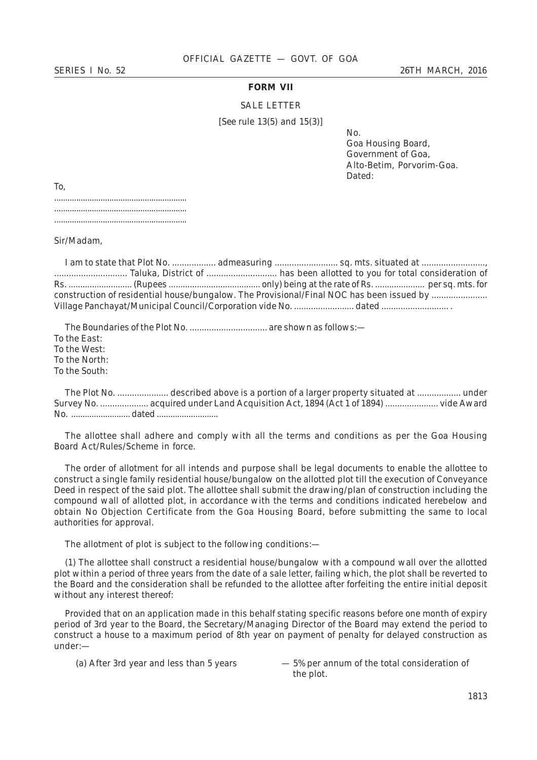# **FORM VII**

#### SALE LETTER

[*See* rule 13(*5*) and 15(*3*)]

No.

Goa Housing Board, Government of Goa, Alto-Betim, Porvorim-Goa. Dated:

To, ............................................................ ............................................................ ............................................................

Sir/Madam,

I am to state that Plot No. .................. admeasuring .......................... sq. mts. situated at .........................., .............................. Taluka, District of ............................. has been allotted to you for total consideration of Rs. ........................... (Rupees ....................................... only) being at the rate of Rs. ..................... per sq. mts. for construction of residential house/bungalow. The Provisional/Final NOC has been issued by ....................... Village Panchayat/Municipal Council/Corporation vide No. ......................... dated ............................ .

The Boundaries of the Plot No. ................................ are shown as follows:— To the East: To the West: To the North: To the South:

The Plot No. ..................... described above is a portion of a larger property situated at .................. under Survey No. .................... acquired under Land Acquisition Act, 1894 (Act 1 of 1894) ...................... vide Award No. .......................... dated ...........................

The allottee shall adhere and comply with all the terms and conditions as per the Goa Housing Board Act/Rules/Scheme in force.

The order of allotment for all intends and purpose shall be legal documents to enable the allottee to construct a single family residential house/bungalow on the allotted plot till the execution of Conveyance Deed in respect of the said plot. The allottee shall submit the drawing/plan of construction including the compound wall of allotted plot, in accordance with the terms and conditions indicated herebelow and obtain No Objection Certificate from the Goa Housing Board, before submitting the same to local authorities for approval.

The allotment of plot is subject to the following conditions:—

(1) The allottee shall construct a residential house/bungalow with a compound wall over the allotted plot within a period of three years from the date of a sale letter, failing which, the plot shall be reverted to the Board and the consideration shall be refunded to the allottee after forfeiting the entire initial deposit without any interest thereof:

Provided that on an application made in this behalf stating specific reasons before one month of expiry period of 3rd year to the Board, the Secretary/Managing Director of the Board may extend the period to construct a house to a maximum period of 8th year on payment of penalty for delayed construction as under:—

(a) After 3rd year and less than 5 years — 5% per annum of the total consideration of the plot.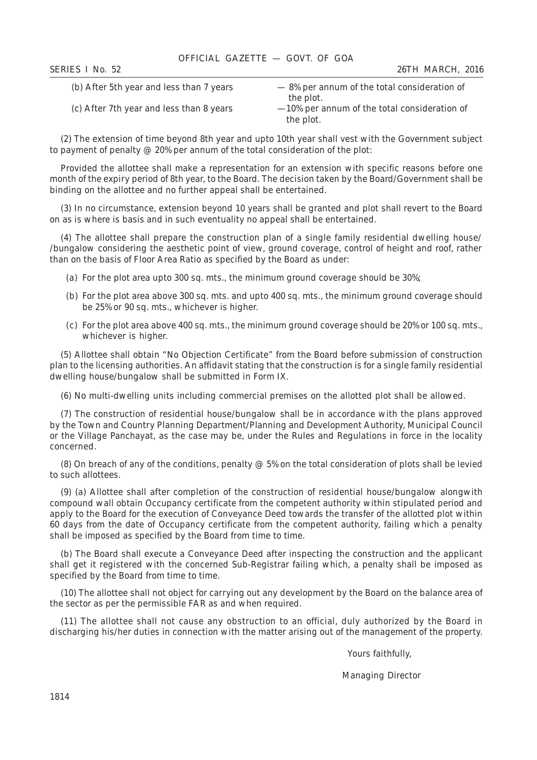| <b>SERIES I No. 52</b>                   | 26TH MARCH, 2016                                |
|------------------------------------------|-------------------------------------------------|
| (b) After 5th year and less than 7 years | $-8\%$ per annum of the total consideration of  |
|                                          | the plot.                                       |
| (c) After 7th year and less than 8 years | $-10\%$ per annum of the total consideration of |
|                                          | the plot.                                       |

(2) The extension of time beyond 8th year and upto 10th year shall vest with the Government subject to payment of penalty @ 20% per annum of the total consideration of the plot:

Provided the allottee shall make a representation for an extension with specific reasons before one month of the expiry period of 8th year, to the Board. The decision taken by the Board/Government shall be binding on the allottee and no further appeal shall be entertained.

(3) In no circumstance, extension beyond 10 years shall be granted and plot shall revert to the Board on as is where is basis and in such eventuality no appeal shall be entertained.

(4) The allottee shall prepare the construction plan of a single family residential dwelling house/ /bungalow considering the aesthetic point of view, ground coverage, control of height and roof, rather than on the basis of Floor Area Ratio as specified by the Board as under:

- (a) For the plot area upto 300 sq. mts., the minimum ground coverage should be 30%;
- (b) For the plot area above 300 sq. mts. and upto 400 sq. mts., the minimum ground coverage should be 25% or 90 sq. mts., whichever is higher.
- (c) For the plot area above 400 sq. mts., the minimum ground coverage should be 20% or 100 sq. mts., whichever is higher.

(5) Allottee shall obtain "No Objection Certificate" from the Board before submission of construction plan to the licensing authorities. An affidavit stating that the construction is for a single family residential dwelling house/bungalow shall be submitted in Form IX.

(6) No multi-dwelling units including commercial premises on the allotted plot shall be allowed.

(7) The construction of residential house/bungalow shall be in accordance with the plans approved by the Town and Country Planning Department/Planning and Development Authority, Municipal Council or the Village Panchayat, as the case may be, under the Rules and Regulations in force in the locality concerned.

(8) On breach of any of the conditions, penalty  $@$  5% on the total consideration of plots shall be levied to such allottees.

(9) (a) Allottee shall after completion of the construction of residential house/bungalow alongwith compound wall obtain Occupancy certificate from the competent authority within stipulated period and apply to the Board for the execution of Conveyance Deed towards the transfer of the allotted plot within 60 days from the date of Occupancy certificate from the competent authority, failing which a penalty shall be imposed as specified by the Board from time to time.

(b) The Board shall execute a Conveyance Deed after inspecting the construction and the applicant shall get it registered with the concerned Sub-Registrar failing which, a penalty shall be imposed as specified by the Board from time to time.

(10) The allottee shall not object for carrying out any development by the Board on the balance area of the sector as per the permissible FAR as and when required.

(11) The allottee shall not cause any obstruction to an official, duly authorized by the Board in discharging his/her duties in connection with the matter arising out of the management of the property.

Yours faithfully,

Managing Director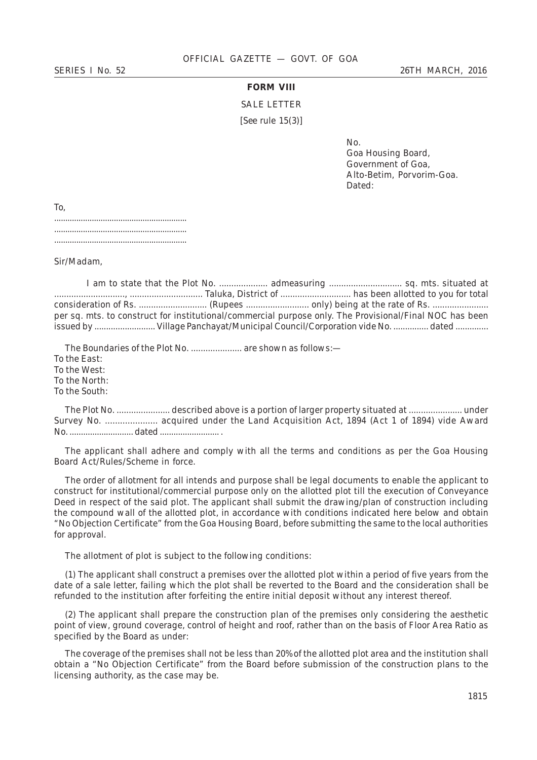# **FORM VIII**

SALE LETTER

[*See* rule 15(*3*)]

No.

Goa Housing Board, Government of Goa, Alto-Betim, Porvorim-Goa. Dated:

| To, |  |  |  |  |  |  |  |  |  |  |  |  |  |  |  |  |  |  |  |  |  |
|-----|--|--|--|--|--|--|--|--|--|--|--|--|--|--|--|--|--|--|--|--|--|
|     |  |  |  |  |  |  |  |  |  |  |  |  |  |  |  |  |  |  |  |  |  |
|     |  |  |  |  |  |  |  |  |  |  |  |  |  |  |  |  |  |  |  |  |  |
|     |  |  |  |  |  |  |  |  |  |  |  |  |  |  |  |  |  |  |  |  |  |

Sir/Madam,

|  | per sq. mts. to construct for institutional/commercial purpose only. The Provisional/Final NOC has been |
|--|---------------------------------------------------------------------------------------------------------|
|  |                                                                                                         |

The Boundaries of the Plot No. ....................... are shown as follows:-To the East: To the West: To the North: To the South:

The Plot No. ...................... described above is a portion of larger property situated at ...................... under Survey No. ..................... acquired under the Land Acquisition Act, 1894 (Act 1 of 1894) vide Award No. ............................ dated .......................... .

The applicant shall adhere and comply with all the terms and conditions as per the Goa Housing Board Act/Rules/Scheme in force.

The order of allotment for all intends and purpose shall be legal documents to enable the applicant to construct for institutional/commercial purpose only on the allotted plot till the execution of Conveyance Deed in respect of the said plot. The applicant shall submit the drawing/plan of construction including the compound wall of the allotted plot, in accordance with conditions indicated here below and obtain "No Objection Certificate" from the Goa Housing Board, before submitting the same to the local authorities for approval.

The allotment of plot is subject to the following conditions:

(*1*) The applicant shall construct a premises over the allotted plot within a period of five years from the date of a sale letter, failing which the plot shall be reverted to the Board and the consideration shall be refunded to the institution after forfeiting the entire initial deposit without any interest thereof.

(2) The applicant shall prepare the construction plan of the premises only considering the aesthetic point of view, ground coverage, control of height and roof, rather than on the basis of Floor Area Ratio as specified by the Board as under:

The coverage of the premises shall not be less than 20% of the allotted plot area and the institution shall obtain a "No Objection Certificate" from the Board before submission of the construction plans to the licensing authority, as the case may be.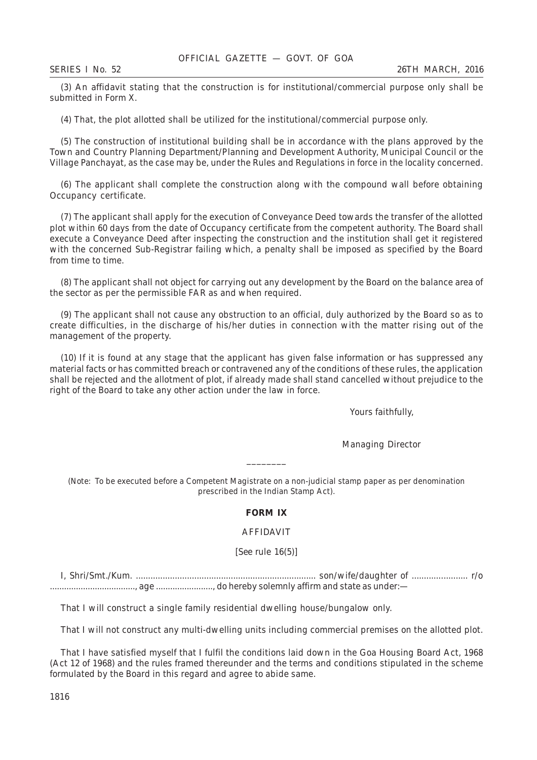(3) An affidavit stating that the construction is for institutional/commercial purpose only shall be submitted in Form X.

(4) That, the plot allotted shall be utilized for the institutional/commercial purpose only.

(5) The construction of institutional building shall be in accordance with the plans approved by the Town and Country Planning Department/Planning and Development Authority, Municipal Council or the Village Panchayat, as the case may be, under the Rules and Regulations in force in the locality concerned.

(6) The applicant shall complete the construction along with the compound wall before obtaining Occupancy certificate.

(7) The applicant shall apply for the execution of Conveyance Deed towards the transfer of the allotted plot within 60 days from the date of Occupancy certificate from the competent authority. The Board shall execute a Conveyance Deed after inspecting the construction and the institution shall get it registered with the concerned Sub-Registrar failing which, a penalty shall be imposed as specified by the Board from time to time.

(8) The applicant shall not object for carrying out any development by the Board on the balance area of the sector as per the permissible FAR as and when required.

(9) The applicant shall not cause any obstruction to an official, duly authorized by the Board so as to create difficulties, in the discharge of his/her duties in connection with the matter rising out of the management of the property.

(10) If it is found at any stage that the applicant has given false information or has suppressed any material facts or has committed breach or contravened any of the conditions of these rules, the application shall be rejected and the allotment of plot, if already made shall stand cancelled without prejudice to the right of the Board to take any other action under the law in force.

Yours faithfully,

Managing Director

\_\_\_\_\_\_\_\_

(*Note*: To be executed before a Competent Magistrate on a non-judicial stamp paper as per denomination prescribed in the Indian Stamp Act).

### **FORM IX**

#### AFFIDAVIT

[*See* rule 16(*5*)]

I, Shri/Smt./Kum. .......................................................................... son/wife/daughter of ....................... r/o ...................................., age ........................, do hereby solemnly affirm and state as under:—

That I will construct a single family residential dwelling house/bungalow only.

That I will not construct any multi-dwelling units including commercial premises on the allotted plot.

That I have satisfied myself that I fulfil the conditions laid down in the Goa Housing Board Act, 1968 (Act 12 of 1968) and the rules framed thereunder and the terms and conditions stipulated in the scheme formulated by the Board in this regard and agree to abide same.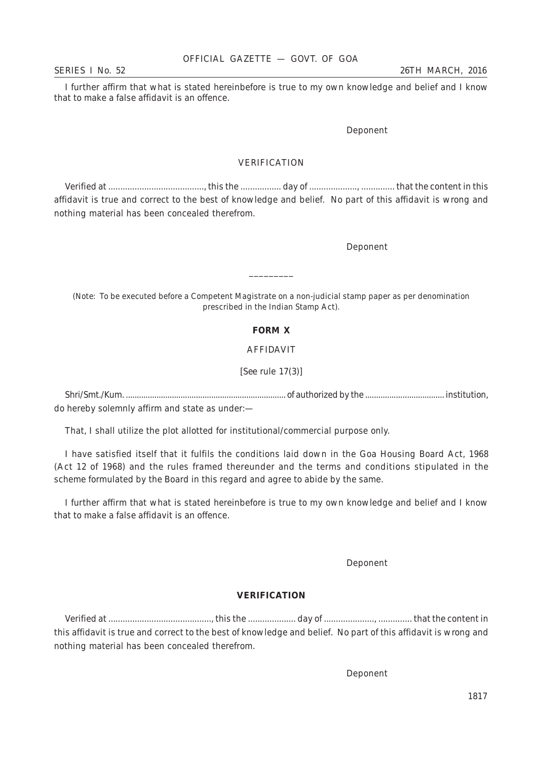I further affirm that what is stated hereinbefore is true to my own knowledge and belief and I know that to make a false affidavit is an offence.

Deponent

# VERIFICATION

Verified at ........................................, this the ................. day of ...................., .............. that the content in this affidavit is true and correct to the best of knowledge and belief. No part of this affidavit is wrong and nothing material has been concealed therefrom.

Deponent

(*Note*: To be executed before a Competent Magistrate on a non-judicial stamp paper as per denomination prescribed in the Indian Stamp Act).

\_\_\_\_\_\_\_\_\_

### **FORM X**

# AFFIDAVIT

[*See* rule 17(*3*)]

Shri/Smt./Kum. ......................................................................... of authorized by the .................................... institution, do hereby solemnly affirm and state as under:—

That, I shall utilize the plot allotted for institutional/commercial purpose only.

I have satisfied itself that it fulfils the conditions laid down in the Goa Housing Board Act, 1968 (Act 12 of 1968) and the rules framed thereunder and the terms and conditions stipulated in the scheme formulated by the Board in this regard and agree to abide by the same.

I further affirm that what is stated hereinbefore is true to my own knowledge and belief and I know that to make a false affidavit is an offence.

Deponent

#### **VERIFICATION**

Verified at ..........................................., this the .................... day of ....................., .............. that the content in this affidavit is true and correct to the best of knowledge and belief. No part of this affidavit is wrong and nothing material has been concealed therefrom.

Deponent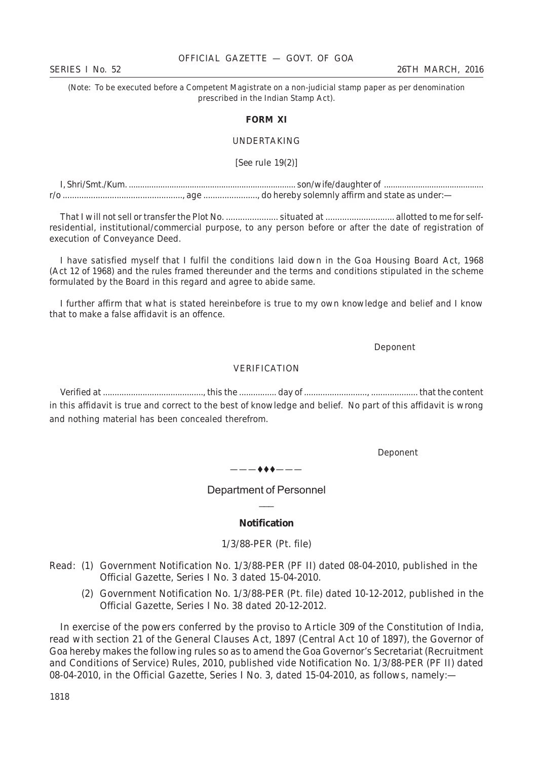#### OFFICIAL GAZETTE — GOVT. OF GOA

(*Note*: To be executed before a Competent Magistrate on a non-judicial stamp paper as per denomination prescribed in the Indian Stamp Act).

#### **FORM XI**

#### UNDERTAKING

[*See* rule 19(*2*)]

I, Shri/Smt./Kum. .......................................................................... son/wife/daughter of ............................................ r/o ..................................................., age ......................., do hereby solemnly affirm and state as under:—

That I will not sell or transfer the Plot No. ...................... situated at ............................. allotted to me for selfresidential, institutional/commercial purpose, to any person before or after the date of registration of execution of Conveyance Deed.

I have satisfied myself that I fulfil the conditions laid down in the Goa Housing Board Act, 1968 (Act 12 of 1968) and the rules framed thereunder and the terms and conditions stipulated in the scheme formulated by the Board in this regard and agree to abide same.

I further affirm that what is stated hereinbefore is true to my own knowledge and belief and I know that to make a false affidavit is an offence.

Deponent

#### VERIFICATION

Verified at ..........................................., this the ................ day of ..........................., .................... that the content in this affidavit is true and correct to the best of knowledge and belief. No part of this affidavit is wrong and nothing material has been concealed therefrom.

Deponent

 $-$  + +  $-$ 

Department of Personnel  $\overline{\phantom{a}}$ 

#### **Notification**

1/3/88-PER (Pt. file)

- Read: (1) Government Notification No. 1/3/88-PER (PF II) dated 08-04-2010, published in the Official Gazette, Series I No. 3 dated 15-04-2010.
	- (2) Government Notification No. 1/3/88-PER (Pt. file) dated 10-12-2012, published in the Official Gazette, Series I No. 38 dated 20-12-2012.

In exercise of the powers conferred by the proviso to Article 309 of the Constitution of India, read with section 21 of the General Clauses Act, 1897 (Central Act 10 of 1897), the Governor of Goa hereby makes the following rules so as to amend the Goa Governor's Secretariat (Recruitment and Conditions of Service) Rules, 2010, published vide Notification No. 1/3/88-PER (PF II) dated 08-04-2010, in the Official Gazette, Series I No. 3, dated 15-04-2010, as follows, namely:—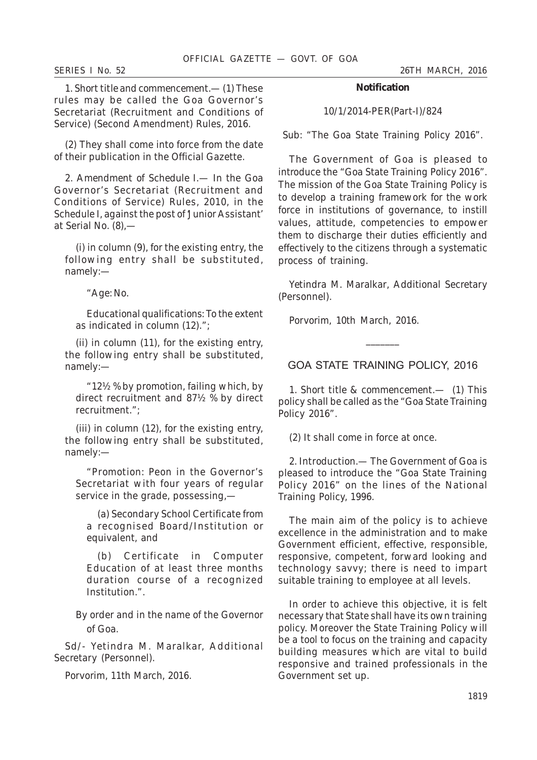*SERIES I No. 52 26TH MARCH, 2016*

1. *Short title and commencement*.— (*1*) These rules may be called the Goa Governor's Secretariat (Recruitment and Conditions of Service) (Second Amendment) Rules, 2016.

(*2*) They shall come into force from the date of their publication in the Official Gazette.

2. *Amendment of Schedule I.*— In the Goa Governor's Secretariat (Recruitment and Conditions of Service) Rules, 2010, in the Schedule I, against the post of 'Junior Assistant' at Serial No. (*8*),—

(*i*) in column (9), for the existing entry, the following entry shall be substituted, namely:—

"*Age*: No.

*Educational qualifications*: To the extent as indicated in column (12).";

(*ii*) in column (11), for the existing entry, the following entry shall be substituted, namely:—

"12½ % by promotion, failing which, by direct recruitment and 87½ % by direct recruitment.";

(*iii*) in column (12), for the existing entry, the following entry shall be substituted, namely:—

"*Promotion*: Peon in the Governor's Secretariat with four years of regular service in the grade, possessing,—

(*a*) Secondary School Certificate from a recognised Board/Institution or equivalent, and

(*b*) Certificate in Computer Education of at least three months duration course of a recognized Institution.".

By order and in the name of the Governor of Goa.

Sd/- Yetindra M. Maralkar, Additional Secretary (Personnel).

Porvorim, 11th March, 2016.

#### **Notification**

10/1/2014-PER(Part-I)/824

Sub: "The Goa State Training Policy 2016".

The Government of Goa is pleased to introduce the "Goa State Training Policy 2016". The mission of the Goa State Training Policy is to develop a training framework for the work force in institutions of governance, to instill values, attitude, competencies to empower them to discharge their duties efficiently and effectively to the citizens through a systematic process of training.

*Yetindra M. Maralkar*, Additional Secretary (Personnel).

Porvorim, 10th March, 2016.

GOA STATE TRAINING POLICY, 2016

 $\overline{\phantom{a}}$ 

1. *Short title & commencement.*— (*1*) This policy shall be called as the "Goa State Training Policy 2016".

(*2*) It shall come in force at once.

2. *Introduction.*— The Government of Goa is pleased to introduce the "Goa State Training Policy 2016" on the lines of the National Training Policy, 1996.

The main aim of the policy is to achieve excellence in the administration and to make Government efficient, effective, responsible, responsive, competent, forward looking and technology savvy; there is need to impart suitable training to employee at all levels.

In order to achieve this objective, it is felt necessary that State shall have its own training policy. Moreover the State Training Policy will be a tool to focus on the training and capacity building measures which are vital to build responsive and trained professionals in the Government set up.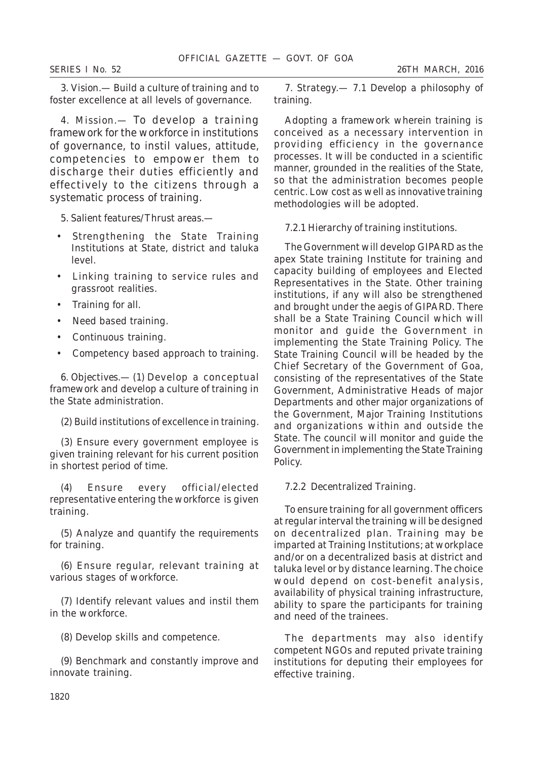*SERIES I No. 52 26TH MARCH, 2016*

3. *Vision*.— Build a culture of training and to foster excellence at all levels of governance.

4. *Mission.*— To develop a training framework for the workforce in institutions of governance, to instil values, attitude, competencies to empower them to discharge their duties efficiently and effectively to the citizens through a systematic process of training.

- 5. *Salient features/Thrust areas.—*
- Strengthening the State Training Institutions at State, district and taluka level.
- Linking training to service rules and grassroot realities.
- Training for all.
- Need based training.
- Continuous training.
- Competency based approach to training.

6. *Objectives.—* (*1*) Develop a conceptual framework and develop a culture of training in the State administration.

(*2*) Build institutions of excellence in training.

(*3*) Ensure every government employee is given training relevant for his current position in shortest period of time.

(*4*) Ensure every official/elected representative entering the workforce is given training.

(*5*) Analyze and quantify the requirements for training.

(*6*) Ensure regular, relevant training at various stages of workforce.

(*7*) Identify relevant values and instil them in the workforce.

(*8*) Develop skills and competence.

(*9*) Benchmark and constantly improve and innovate training.

7. *Strategy.—* 7.1 *Develop a philosophy of training.*

Adopting a framework wherein training is conceived as a necessary intervention in providing efficiency in the governance processes. It will be conducted in a scientific manner, grounded in the realities of the State, so that the administration becomes people centric. Low cost as well as innovative training methodologies will be adopted.

#### 7.2.1 *Hierarchy of training institutions*.

The Government will develop GIPARD as the apex State training Institute for training and capacity building of employees and Elected Representatives in the State. Other training institutions, if any will also be strengthened and brought under the aegis of GIPARD. There shall be a State Training Council which will monitor and guide the Government in implementing the State Training Policy. The State Training Council will be headed by the Chief Secretary of the Government of Goa, consisting of the representatives of the State Government, Administrative Heads of major Departments and other major organizations of the Government, Major Training Institutions and organizations within and outside the State. The council will monitor and guide the Government in implementing the State Training Policy.

#### 7.2.2 *Decentralized Training.*

To ensure training for all government officers at regular interval the training will be designed on decentralized plan. Training may be imparted at Training Institutions; at workplace and/or on a decentralized basis at district and taluka level or by distance learning. The choice would depend on cost-benefit analysis, availability of physical training infrastructure, ability to spare the participants for training and need of the trainees.

The departments may also identify competent NGOs and reputed private training institutions for deputing their employees for effective training.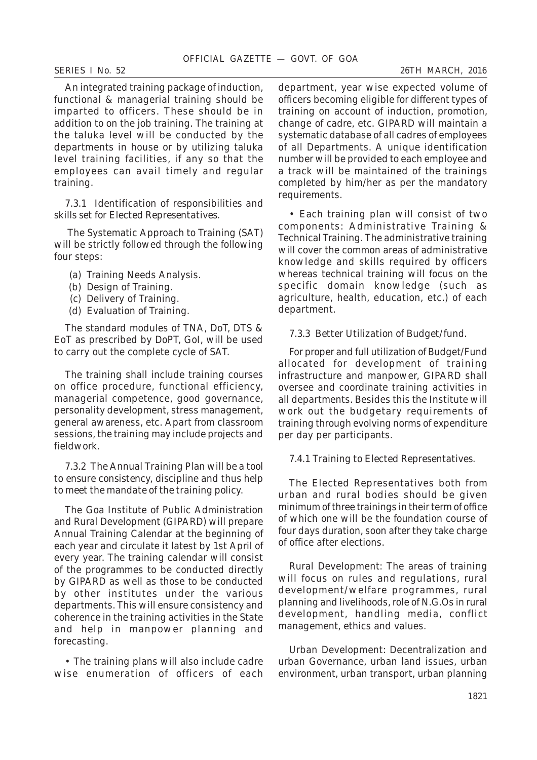An integrated training package of induction, functional & managerial training should be imparted to officers. These should be in addition to on the job training. The training at the taluka level will be conducted by the departments in house or by utilizing taluka level training facilities, if any so that the employees can avail timely and regular training.

# 7.3.1 *Identification of responsibilities and skills set for Elected Representatives.*

 The Systematic Approach to Training (SAT) will be strictly followed through the following four steps:

- (a) Training Needs Analysis.
- (b) Design of Training.
- (c) Delivery of Training.
- (d) Evaluation of Training.

The standard modules of TNA, DoT, DTS & EoT as prescribed by DoPT, GoI, will be used to carry out the complete cycle of SAT.

The training shall include training courses on office procedure, functional efficiency, managerial competence, good governance, personality development, stress management, general awareness, etc. Apart from classroom sessions, the training may include projects and fieldwork.

# 7.3.2 *The Annual Training Plan will be a tool to ensure consistency, discipline and thus help to meet the mandate of the training policy.*

The Goa Institute of Public Administration and Rural Development (GIPARD) will prepare Annual Training Calendar at the beginning of each year and circulate it latest by 1st April of every year. The training calendar will consist of the programmes to be conducted directly by GIPARD as well as those to be conducted by other institutes under the various departments. This will ensure consistency and coherence in the training activities in the State and help in manpower planning and forecasting.

• The training plans will also include cadre wise enumeration of officers of each department, year wise expected volume of officers becoming eligible for different types of training on account of induction, promotion, change of cadre, etc. GIPARD will maintain a systematic database of all cadres of employees of all Departments. A unique identification number will be provided to each employee and a track will be maintained of the trainings completed by him/her as per the mandatory requirements.

• Each training plan will consist of two components: Administrative Training & Technical Training. The administrative training will cover the common areas of administrative knowledge and skills required by officers whereas technical training will focus on the specific domain knowledge (such as agriculture, health, education, etc.) of each department.

# 7.3.3 *Better Utilization of Budget/fund.*

For proper and full utilization of Budget/Fund allocated for development of training infrastructure and manpower, GIPARD shall oversee and coordinate training activities in all departments. Besides this the Institute will work out the budgetary requirements of training through evolving norms of expenditure per day per participants.

# 7.4.1 *Training to Elected Representatives*.

The Elected Representatives both from urban and rural bodies should be given minimum of three trainings in their term of office of which one will be the foundation course of four days duration, soon after they take charge of office after elections.

Rural Development: The areas of training will focus on rules and regulations, rural development/welfare programmes, rural planning and livelihoods, role of N.G.Os in rural development, handling media, conflict management, ethics and values.

Urban Development: Decentralization and urban Governance, urban land issues, urban environment, urban transport, urban planning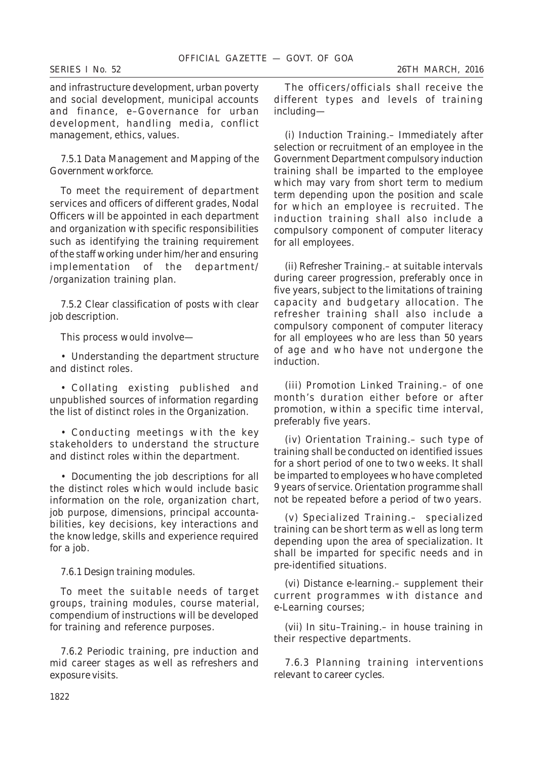and infrastructure development, urban poverty and social development, municipal accounts and finance, e–Governance for urban development, handling media, conflict management, ethics, values.

# 7.5.1 *Data Management and Mapping of the Government workforce.*

To meet the requirement of department services and officers of different grades, Nodal Officers will be appointed in each department and organization with specific responsibilities such as identifying the training requirement of the staff working under him/her and ensuring implementation of the department/ /organization training plan.

# 7.5.2 *Clear classification of posts with clear job description.*

This process would involve—

• Understanding the department structure and distinct roles.

• Collating existing published and unpublished sources of information regarding the list of distinct roles in the Organization.

• Conducting meetings with the key stakeholders to understand the structure and distinct roles within the department.

• Documenting the job descriptions for all the distinct roles which would include basic information on the role, organization chart, job purpose, dimensions, principal accountabilities, key decisions, key interactions and the knowledge, skills and experience required for a job.

#### 7.6.1 *Design training modules.*

To meet the suitable needs of target groups, training modules, course material, compendium of instructions will be developed for training and reference purposes.

7.6.2 *Periodic training, pre induction and mid career stages as well as refreshers and exposure visits.*

The officers/officials shall receive the different types and levels of training including—

(*i*) *Induction Training*.– Immediately after selection or recruitment of an employee in the Government Department compulsory induction training shall be imparted to the employee which may vary from short term to medium term depending upon the position and scale for which an employee is recruited. The induction training shall also include a compulsory component of computer literacy for all employees.

(*ii*) *Refresher Training*.– at suitable intervals during career progression, preferably once in five years, subject to the limitations of training capacity and budgetary allocation. The refresher training shall also include a compulsory component of computer literacy for all employees who are less than 50 years of age and who have not undergone the induction.

(*iii*) *Promotion Linked Training*.– of one month's duration either before or after promotion, within a specific time interval, preferably five years.

(*iv*) *Orientation Training*.– such type of training shall be conducted on identified issues for a short period of one to two weeks. It shall be imparted to employees who have completed 9 years of service. Orientation programme shall not be repeated before a period of two years.

(*v*) *Specialized Training*.– specialized training can be short term as well as long term depending upon the area of specialization. It shall be imparted for specific needs and in pre-identified situations.

(*vi*) *Distance e-learning*.– supplement their current programmes with distance and e-Learning courses;

(*vii*) *In situ*–*Training*.– in house training in their respective departments.

7.6.3 *Planning training interventions relevant to career cycles.*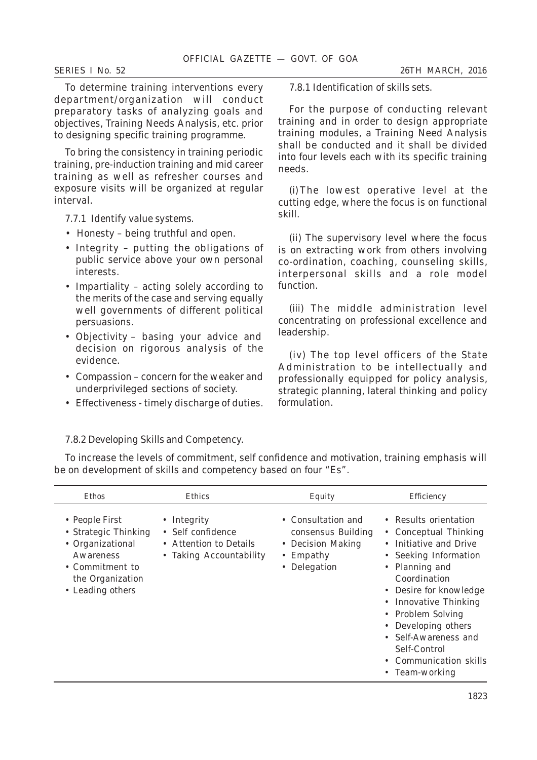To determine training interventions every department/organization will conduct preparatory tasks of analyzing goals and objectives, Training Needs Analysis, etc. prior to designing specific training programme.

To bring the consistency in training periodic training, pre-induction training and mid career training as well as refresher courses and exposure visits will be organized at regular interval.

7.7.1 *Identify value systems.*

- Honesty being truthful and open.
- Integrity putting the obligations of public service above your own personal interests.
- Impartiality acting solely according to the merits of the case and serving equally well governments of different political persuasions.
- Objectivity basing your advice and decision on rigorous analysis of the evidence.
- Compassion concern for the weaker and underprivileged sections of society.
- Effectiveness timely discharge of duties.

7.8.1 *Identification of skills sets.*

For the purpose of conducting relevant training and in order to design appropriate training modules, a Training Need Analysis shall be conducted and it shall be divided into four levels each with its specific training needs.

(*i*)The lowest operative level at the cutting edge, where the focus is on functional skill.

(*ii*) The supervisory level where the focus is on extracting work from others involving co-ordination, coaching, counseling skills, interpersonal skills and a role model function.

(*iii*) The middle administration level concentrating on professional excellence and leadership.

(*iv*) The top level officers of the State Administration to be intellectually and professionally equipped for policy analysis, strategic planning, lateral thinking and policy formulation.

# 7.8.2 *Developing Skills and Competency.*

To increase the levels of commitment, self confidence and motivation, training emphasis will be on development of skills and competency based on four "Es".

| Ethos                                                                                                                              | Ethics                                                                                | Equity                                                                                             | Efficiency                                                                                                                                                                                                                                                                                                             |
|------------------------------------------------------------------------------------------------------------------------------------|---------------------------------------------------------------------------------------|----------------------------------------------------------------------------------------------------|------------------------------------------------------------------------------------------------------------------------------------------------------------------------------------------------------------------------------------------------------------------------------------------------------------------------|
| • People First<br>• Strategic Thinking<br>• Organizational<br>Awareness<br>• Commitment to<br>the Organization<br>• Leading others | • Integrity<br>• Self confidence<br>• Attention to Details<br>• Taking Accountability | • Consultation and<br>consensus Building<br>• Decision Making<br>$\bullet$ Empathy<br>• Delegation | • Results orientation<br>• Conceptual Thinking<br>• Initiative and Drive<br>• Seeking Information<br>• Planning and<br>Coordination<br>• Desire for knowledge<br>• Innovative Thinking<br>• Problem Solving<br>• Developing others<br>• Self-Awareness and<br>Self-Control<br>• Communication skills<br>• Team-working |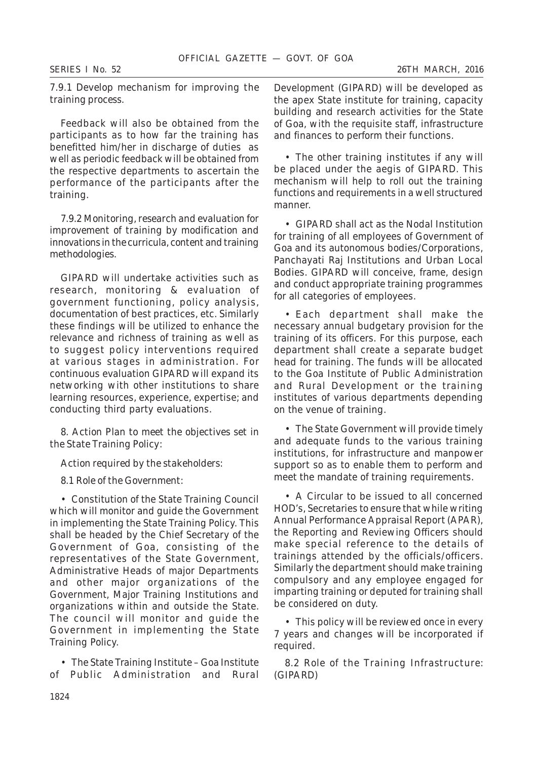# 7.9.1 *Develop mechanism for improving the training process.*

Feedback will also be obtained from the participants as to how far the training has benefitted him/her in discharge of duties as well as periodic feedback will be obtained from the respective departments to ascertain the performance of the participants after the training.

7.9.2 *Monitoring, research and evaluation for improvement of training by modification and innovations in the curricula, content and training methodologies.*

GIPARD will undertake activities such as research, monitoring & evaluation of government functioning, policy analysis, documentation of best practices, etc. Similarly these findings will be utilized to enhance the relevance and richness of training as well as to suggest policy interventions required at various stages in administration. For continuous evaluation GIPARD will expand its networking with other institutions to share learning resources, experience, expertise; and conducting third party evaluations.

8. *Action Plan to meet the objectives set in the State Training Policy:*

### *Action required by the stakeholders:*

# 8.1 *Role of the Government:*

• Constitution of the State Training Council which will monitor and guide the Government in implementing the State Training Policy. This shall be headed by the Chief Secretary of the Government of Goa, consisting of the representatives of the State Government, Administrative Heads of major Departments and other major organizations of the Government, Major Training Institutions and organizations within and outside the State. The council will monitor and guide the Government in implementing the State Training Policy.

• The State Training Institute – Goa Institute of Public Administration and Rural Development (GIPARD) will be developed as the apex State institute for training, capacity building and research activities for the State of Goa, with the requisite staff, infrastructure and finances to perform their functions.

• The other training institutes if any will be placed under the aegis of GIPARD. This mechanism will help to roll out the training functions and requirements in a well structured manner.

• GIPARD shall act as the Nodal Institution for training of all employees of Government of Goa and its autonomous bodies/Corporations, Panchayati Raj Institutions and Urban Local Bodies. GIPARD will conceive, frame, design and conduct appropriate training programmes for all categories of employees.

• Each department shall make the necessary annual budgetary provision for the training of its officers. For this purpose, each department shall create a separate budget head for training. The funds will be allocated to the Goa Institute of Public Administration and Rural Development or the training institutes of various departments depending on the venue of training.

• The State Government will provide timely and adequate funds to the various training institutions, for infrastructure and manpower support so as to enable them to perform and meet the mandate of training requirements.

• A Circular to be issued to all concerned HOD's, Secretaries to ensure that while writing Annual Performance Appraisal Report (APAR), the Reporting and Reviewing Officers should make special reference to the details of trainings attended by the officials/officers. Similarly the department should make training compulsory and any employee engaged for imparting training or deputed for training shall be considered on duty.

• This policy will be reviewed once in every 7 years and changes will be incorporated if required.

8.2 *Role of the Training Infrastructure:* (GIPARD)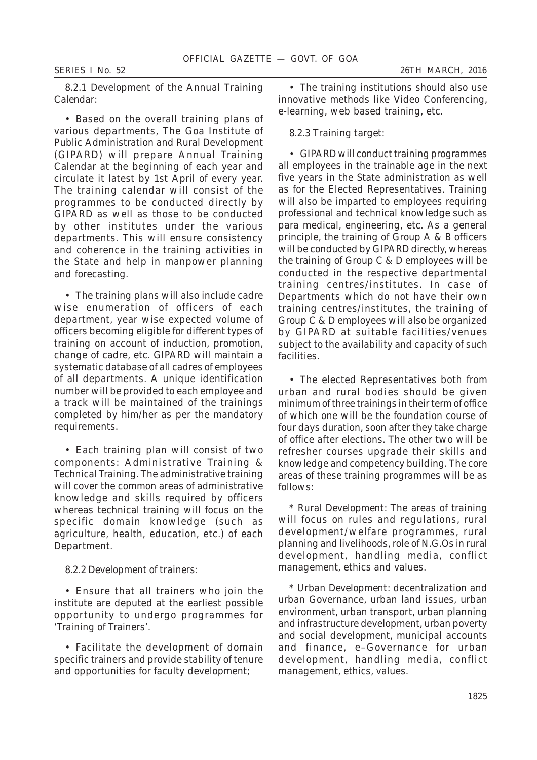• Based on the overall training plans of various departments, The Goa Institute of Public Administration and Rural Development (GIPARD) will prepare Annual Training Calendar at the beginning of each year and circulate it latest by 1st April of every year. The training calendar will consist of the programmes to be conducted directly by GIPARD as well as those to be conducted by other institutes under the various departments. This will ensure consistency and coherence in the training activities in the State and help in manpower planning and forecasting.

• The training plans will also include cadre wise enumeration of officers of each department, year wise expected volume of officers becoming eligible for different types of training on account of induction, promotion, change of cadre, etc. GIPARD will maintain a systematic database of all cadres of employees of all departments. A unique identification number will be provided to each employee and a track will be maintained of the trainings completed by him/her as per the mandatory requirements.

• Each training plan will consist of two components: Administrative Training & Technical Training. The administrative training will cover the common areas of administrative knowledge and skills required by officers whereas technical training will focus on the specific domain knowledge (such as agriculture, health, education, etc.) of each Department.

### 8.2.2 *Development of trainers:*

• Ensure that all trainers who join the institute are deputed at the earliest possible opportunity to undergo programmes for 'Training of Trainers'.

• Facilitate the development of domain specific trainers and provide stability of tenure and opportunities for faculty development;

• The training institutions should also use innovative methods like Video Conferencing, e-learning, web based training, etc.

# 8.2.3 *Training target*:

• GIPARD will conduct training programmes all employees in the trainable age in the next five years in the State administration as well as for the Elected Representatives. Training will also be imparted to employees requiring professional and technical knowledge such as para medical, engineering, etc. As a general principle, the training of Group A & B officers will be conducted by GIPARD directly, whereas the training of Group C & D employees will be conducted in the respective departmental training centres/institutes. In case of Departments which do not have their own training centres/institutes, the training of Group C & D employees will also be organized by GIPARD at suitable facilities/venues subject to the availability and capacity of such facilities.

• The elected Representatives both from urban and rural bodies should be given minimum of three trainings in their term of office of which one will be the foundation course of four days duration, soon after they take charge of office after elections. The other two will be refresher courses upgrade their skills and knowledge and competency building. The core areas of these training programmes will be as follows:

\* *Rural Development*: The areas of training will focus on rules and regulations, rural development/welfare programmes, rural planning and livelihoods, role of N.G.Os in rural development, handling media, conflict management, ethics and values.

\* *Urban Development*: decentralization and urban Governance, urban land issues, urban environment, urban transport, urban planning and infrastructure development, urban poverty and social development, municipal accounts and finance, e–Governance for urban development, handling media, conflict management, ethics, values.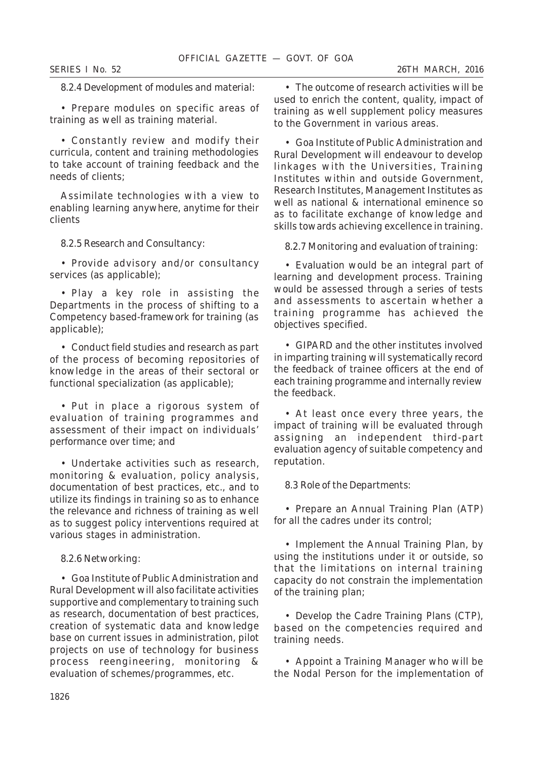# 8.2.4 *Development of modules and material:*

• Prepare modules on specific areas of training as well as training material.

• Constantly review and modify their curricula, content and training methodologies to take account of training feedback and the needs of clients;

Assimilate technologies with a view to enabling learning anywhere, anytime for their clients

#### 8.2.5 *Research and Consultancy:*

• Provide advisory and/or consultancy services (as applicable);

• Play a key role in assisting the Departments in the process of shifting to a Competency based-framework for training (as applicable);

• Conduct field studies and research as part of the process of becoming repositories of knowledge in the areas of their sectoral or functional specialization (as applicable);

• Put in place a rigorous system of evaluation of training programmes and assessment of their impact on individuals' performance over time; and

• Undertake activities such as research, monitoring & evaluation, policy analysis, documentation of best practices, etc., and to utilize its findings in training so as to enhance the relevance and richness of training as well as to suggest policy interventions required at various stages in administration.

#### 8.2.6 *Networking:*

• Goa Institute of Public Administration and Rural Development will also facilitate activities supportive and complementary to training such as research, documentation of best practices, creation of systematic data and knowledge base on current issues in administration, pilot projects on use of technology for business process reengineering, monitoring & evaluation of schemes/programmes, etc.

• The outcome of research activities will be used to enrich the content, quality, impact of training as well supplement policy measures to the Government in various areas.

• Goa Institute of Public Administration and Rural Development will endeavour to develop linkages with the Universities, Training Institutes within and outside Government, Research Institutes, Management Institutes as well as national & international eminence so as to facilitate exchange of knowledge and skills towards achieving excellence in training.

#### 8.2.7 *Monitoring and evaluation of training:*

• Evaluation would be an integral part of learning and development process. Training would be assessed through a series of tests and assessments to ascertain whether a training programme has achieved the objectives specified.

• GIPARD and the other institutes involved in imparting training will systematically record the feedback of trainee officers at the end of each training programme and internally review the feedback.

• At least once every three years, the impact of training will be evaluated through assigning an independent third-part evaluation agency of suitable competency and reputation.

#### 8.3 *Role of the Departments:*

• Prepare an Annual Training Plan (ATP) for all the cadres under its control;

• Implement the Annual Training Plan, by using the institutions under it or outside, so that the limitations on internal training capacity do not constrain the implementation of the training plan;

• Develop the Cadre Training Plans (CTP), based on the competencies required and training needs.

• Appoint a Training Manager who will be the Nodal Person for the implementation of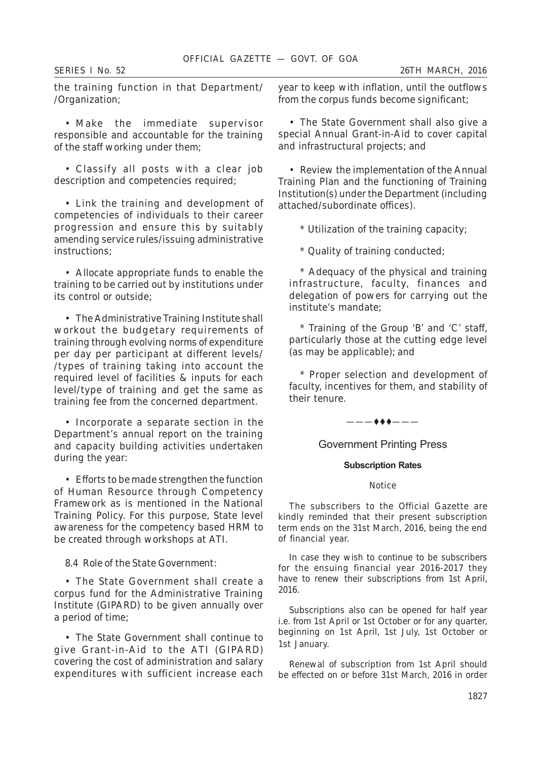the training function in that Department/ /Organization;

• Make the immediate supervisor responsible and accountable for the training of the staff working under them;

• Classify all posts with a clear job description and competencies required;

• Link the training and development of competencies of individuals to their career progression and ensure this by suitably amending service rules/issuing administrative instructions;

• Allocate appropriate funds to enable the training to be carried out by institutions under its control or outside;

• The Administrative Training Institute shall workout the budgetary requirements of training through evolving norms of expenditure per day per participant at different levels/ /types of training taking into account the required level of facilities & inputs for each level/type of training and get the same as training fee from the concerned department.

• Incorporate a separate section in the Department's annual report on the training and capacity building activities undertaken during the year:

• Efforts to be made strengthen the function of Human Resource through Competency Framework as is mentioned in the National Training Policy. For this purpose, State level awareness for the competency based HRM to be created through workshops at ATI.

# 8.4 *Role of the State Government:*

• The State Government shall create a corpus fund for the Administrative Training Institute (GIPARD) to be given annually over a period of time;

• The State Government shall continue to give Grant-in-Aid to the ATI (GIPARD) covering the cost of administration and salary expenditures with sufficient increase each year to keep with inflation, until the outflows from the corpus funds become significant;

• The State Government shall also give a special Annual Grant-in-Aid to cover capital and infrastructural projects; and

• Review the implementation of the Annual Training Plan and the functioning of Training Institution(s) under the Department (including attached/subordinate offices).

\* Utilization of the training capacity;

\* Quality of training conducted;

\* Adequacy of the physical and training infrastructure, faculty, finances and delegation of powers for carrying out the institute's mandate;

\* Training of the Group 'B' and 'C' staff, particularly those at the cutting edge level (as may be applicable); and

\* Proper selection and development of faculty, incentives for them, and stability of their tenure.

 $-$  + + +  $-$ 

Government Printing Press

#### **Subscription Rates**

#### Notice

The subscribers to the Official Gazette are kindly reminded that their present subscription term ends on the 31st March, 2016, being the end of financial year.

In case they wish to continue to be subscribers for the ensuing financial year 2016-2017 they have to renew their subscriptions from 1st April, 2016.

Subscriptions also can be opened for half year i.e. from 1st April or 1st October or for any quarter, beginning on 1st April, 1st July, 1st October or 1st January.

Renewal of subscription from 1st April should be effected on or before 31st March, 2016 in order